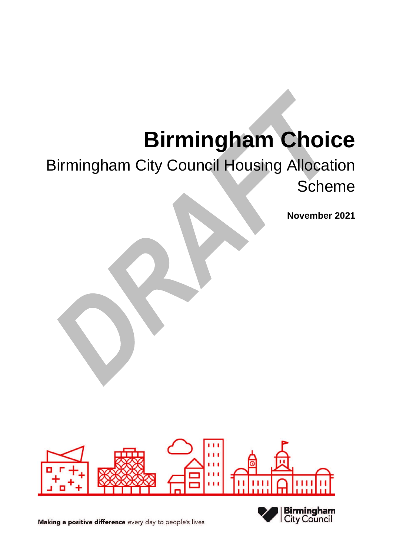# **Birmingham Choice**

# Birmingham City Council Housing Allocation **Scheme**

**November 2021**



Making a positive difference every day to people's lives

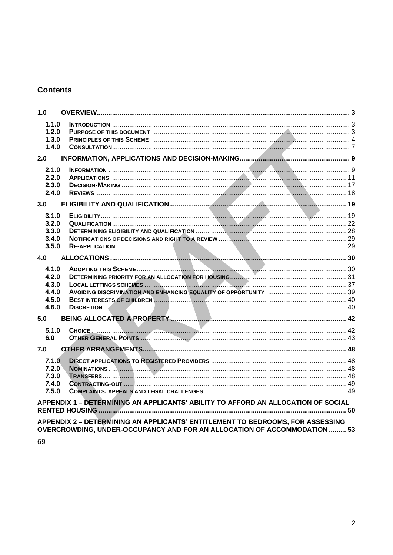# **Contents**

| 1.0                                                |                                                                                   |  |
|----------------------------------------------------|-----------------------------------------------------------------------------------|--|
| 1.1.0<br>1.2.0<br>1.3.0<br>1.4.0                   |                                                                                   |  |
| 2.0                                                |                                                                                   |  |
| 2.1.0<br>2.2.0<br>2.3.0<br>2.4.0                   |                                                                                   |  |
| 3.0                                                |                                                                                   |  |
| 3.1.0<br>3.2.0<br>3.3.0<br>3.4.0<br>3.5.0          |                                                                                   |  |
| 4.0                                                |                                                                                   |  |
| 4.1.0<br>4.2.0<br>4.3.0<br>4.4.0<br>4.5.0<br>4.6.0 |                                                                                   |  |
| 5.0                                                |                                                                                   |  |
| 5.1.0<br>6.0                                       |                                                                                   |  |
| 7.0                                                |                                                                                   |  |
| 7.1.0<br>7.2.0<br>7.3.0<br>7.4.0<br>7.5.0          |                                                                                   |  |
|                                                    | APPENDIX 1 - DETERMINING AN APPLICANTS' ABILITY TO AFFORD AN ALLOCATION OF SOCIAL |  |
|                                                    | APPENDIX 2 - DETERMINING AN APPLICANTS' ENTITLEMENT TO BEDROOMS, FOR ASSESSING    |  |

OVERCROWDING, UNDER-OCCUPANCY AND FOR AN ALLOCATION OF ACCOMMODATION ......... 53

69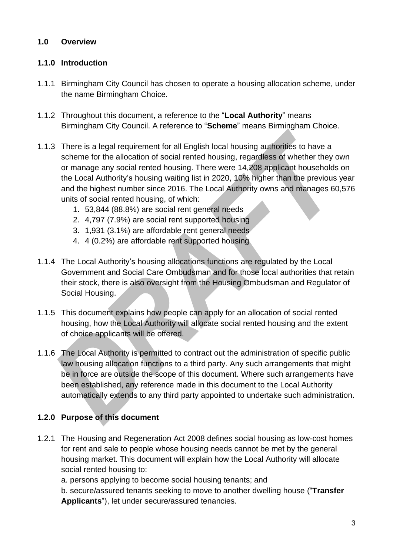# <span id="page-2-0"></span>**1.0 Overview**

# <span id="page-2-1"></span>**1.1.0 Introduction**

- 1.1.1 Birmingham City Council has chosen to operate a housing allocation scheme, under the name Birmingham Choice.
- 1.1.2 Throughout this document, a reference to the "**Local Authority**" means Birmingham City Council. A reference to "**Scheme**" means Birmingham Choice.
- 1.1.3 There is a legal requirement for all English local housing authorities to have a scheme for the allocation of social rented housing, regardless of whether they own or manage any social rented housing. There were 14,208 applicant households on the Local Authority's housing waiting list in 2020, 10% higher than the previous year and the highest number since 2016. The Local Authority owns and manages 60,576 units of social rented housing, of which:
	- 1. 53,844 (88.8%) are social rent general needs
	- 2. 4,797 (7.9%) are social rent supported housing
	- 3. 1,931 (3.1%) are affordable rent general needs
	- 4. 4 (0.2%) are affordable rent supported housing
- 1.1.4 The Local Authority's housing allocations functions are regulated by the Local Government and Social Care Ombudsman and for those local authorities that retain their stock, there is also oversight from the Housing Ombudsman and Regulator of Social Housing.
- 1.1.5 This document explains how people can apply for an allocation of social rented housing, how the Local Authority will allocate social rented housing and the extent of choice applicants will be offered.
- 1.1.6 The Local Authority is permitted to contract out the administration of specific public law housing allocation functions to a third party. Any such arrangements that might be in force are outside the scope of this document. Where such arrangements have been established, any reference made in this document to the Local Authority automatically extends to any third party appointed to undertake such administration.

# <span id="page-2-2"></span>**1.2.0 Purpose of this document**

1.2.1 The Housing and Regeneration Act 2008 defines social housing as low-cost homes for rent and sale to people whose housing needs cannot be met by the general housing market. This document will explain how the Local Authority will allocate social rented housing to:

a. persons applying to become social housing tenants; and

b. secure/assured tenants seeking to move to another dwelling house ("**Transfer Applicants**"), let under secure/assured tenancies.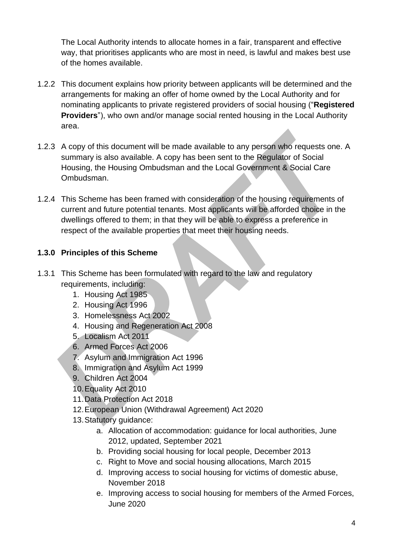The Local Authority intends to allocate homes in a fair, transparent and effective way, that prioritises applicants who are most in need, is lawful and makes best use of the homes available.

- 1.2.2 This document explains how priority between applicants will be determined and the arrangements for making an offer of home owned by the Local Authority and for nominating applicants to private registered providers of social housing ("**Registered Providers**"), who own and/or manage social rented housing in the Local Authority area.
- 1.2.3 A copy of this document will be made available to any person who requests one. A summary is also available. A copy has been sent to the Regulator of Social Housing, the Housing Ombudsman and the Local Government & Social Care Ombudsman.
- 1.2.4 This Scheme has been framed with consideration of the housing requirements of current and future potential tenants. Most applicants will be afforded choice in the dwellings offered to them; in that they will be able to express a preference in respect of the available properties that meet their housing needs.

# <span id="page-3-0"></span>**1.3.0 Principles of this Scheme**

- 1.3.1 This Scheme has been formulated with regard to the law and regulatory requirements, including:
	- 1. Housing Act 1985
	- 2. Housing Act 1996
	- 3. Homelessness Act 2002
	- 4. Housing and Regeneration Act 2008
	- 5. Localism Act 2011
	- 6. Armed Forces Act 2006
	- 7. Asylum and Immigration Act 1996
	- 8. Immigration and Asylum Act 1999
	- 9. Children Act 2004
	- 10.Equality Act 2010
	- 11.Data Protection Act 2018
	- 12.European Union (Withdrawal Agreement) Act 2020
	- 13.Statutory guidance:
		- a. Allocation of accommodation: guidance for local authorities, June 2012, updated, September 2021
		- b. Providing social housing for local people, December 2013
		- c. Right to Move and social housing allocations, March 2015
		- d. Improving access to social housing for victims of domestic abuse, November 2018
		- e. Improving access to social housing for members of the Armed Forces, June 2020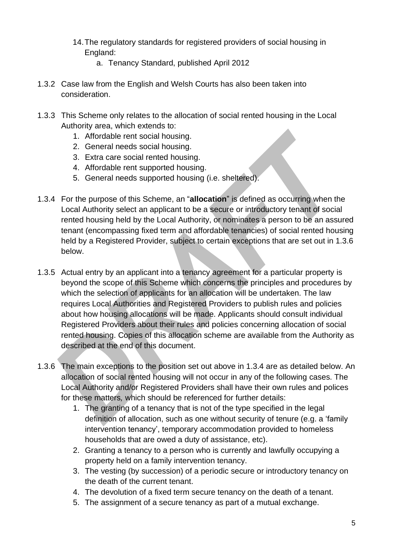- 14.The regulatory standards for registered providers of social housing in England:
	- a. Tenancy Standard, published April 2012
- 1.3.2 Case law from the English and Welsh Courts has also been taken into consideration.
- 1.3.3 This Scheme only relates to the allocation of social rented housing in the Local Authority area, which extends to:
	- 1. Affordable rent social housing.
	- 2. General needs social housing.
	- 3. Extra care social rented housing.
	- 4. Affordable rent supported housing.
	- 5. General needs supported housing (i.e. sheltered).
- 1.3.4 For the purpose of this Scheme, an "**allocation**" is defined as occurring when the Local Authority select an applicant to be a secure or introductory tenant of social rented housing held by the Local Authority, or nominates a person to be an assured tenant (encompassing fixed term and affordable tenancies) of social rented housing held by a Registered Provider, subject to certain exceptions that are set out in 1.3.6 below.
- 1.3.5 Actual entry by an applicant into a tenancy agreement for a particular property is beyond the scope of this Scheme which concerns the principles and procedures by which the selection of applicants for an allocation will be undertaken. The law requires Local Authorities and Registered Providers to publish rules and policies about how housing allocations will be made. Applicants should consult individual Registered Providers about their rules and policies concerning allocation of social rented housing. Copies of this allocation scheme are available from the Authority as described at the end of this document.
- 1.3.6 The main exceptions to the position set out above in 1.3.4 are as detailed below. An allocation of social rented housing will not occur in any of the following cases. The Local Authority and/or Registered Providers shall have their own rules and polices for these matters*,* which should be referenced for further details:
	- 1. The granting of a tenancy that is not of the type specified in the legal definition of allocation, such as one without security of tenure (e.g. a 'family intervention tenancy', temporary accommodation provided to homeless households that are owed a duty of assistance, etc).
	- 2. Granting a tenancy to a person who is currently and lawfully occupying a property held on a family intervention tenancy.
	- 3. The vesting (by succession) of a periodic secure or introductory tenancy on the death of the current tenant.
	- 4. The devolution of a fixed term secure tenancy on the death of a tenant.
	- 5. The assignment of a secure tenancy as part of a mutual exchange.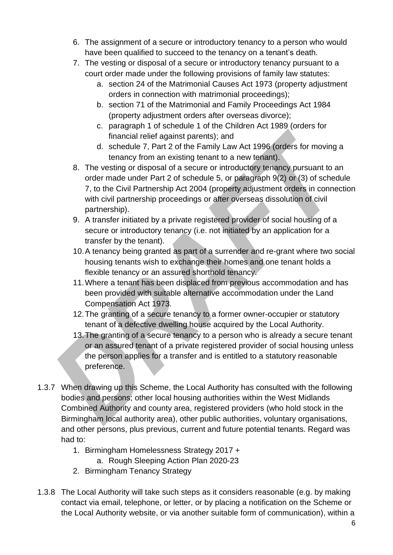- 6. The assignment of a secure or introductory tenancy to a person who would have been qualified to succeed to the tenancy on a tenant's death.
- 7. The vesting or disposal of a secure or introductory tenancy pursuant to a court order made under the following provisions of family law statutes:
	- a. section 24 of the Matrimonial Causes Act 1973 (property adjustment orders in connection with matrimonial proceedings);
	- b. section 71 of the Matrimonial and Family Proceedings Act 1984 (property adjustment orders after overseas divorce);
	- c. paragraph 1 of schedule 1 of the Children Act 1989 (orders for financial relief against parents); and
	- d. schedule 7, Part 2 of the Family Law Act 1996 (orders for moving a tenancy from an existing tenant to a new tenant).
- 8. The vesting or disposal of a secure or introductory tenancy pursuant to an order made under Part 2 of schedule 5, or paragraph 9(2) or (3) of schedule 7, to the Civil Partnership Act 2004 (property adjustment orders in connection with civil partnership proceedings or after overseas dissolution of civil partnership).
- 9. A transfer initiated by a private registered provider of social housing of a secure or introductory tenancy (i.e. not initiated by an application for a transfer by the tenant).
- 10.A tenancy being granted as part of a surrender and re-grant where two social housing tenants wish to exchange their homes and one tenant holds a flexible tenancy or an assured shorthold tenancy.
- 11.Where a tenant has been displaced from previous accommodation and has been provided with suitable alternative accommodation under the Land Compensation Act 1973.
- 12.The granting of a secure tenancy to a former owner-occupier or statutory tenant of a defective dwelling house acquired by the Local Authority.
- 13.The granting of a secure tenancy to a person who is already a secure tenant or an assured tenant of a private registered provider of social housing unless the person applies for a transfer and is entitled to a statutory reasonable preference.
- 1.3.7 When drawing up this Scheme, the Local Authority has consulted with the following bodies and persons; other local housing authorities within the West Midlands Combined Authority and county area, registered providers (who hold stock in the Birmingham local authority area), other public authorities, voluntary organisations, and other persons, plus previous, current and future potential tenants. Regard was had to:
	- 1. Birmingham Homelessness Strategy 2017 +
		- a. Rough Sleeping Action Plan 2020-23
	- 2. Birmingham Tenancy Strategy
- 1.3.8 The Local Authority will take such steps as it considers reasonable (e.g. by making contact via email, telephone, or letter, or by placing a notification on the Scheme or the Local Authority website, or via another suitable form of communication), within a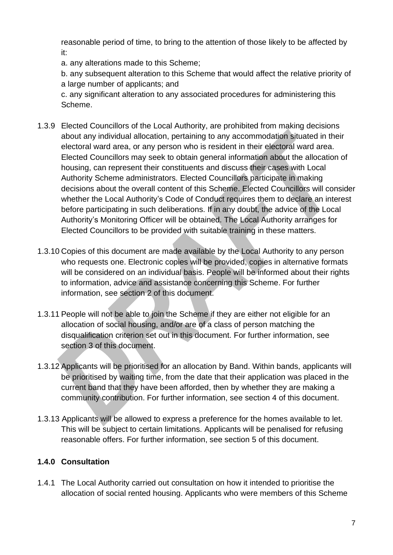reasonable period of time, to bring to the attention of those likely to be affected by it:

a. any alterations made to this Scheme;

b. any subsequent alteration to this Scheme that would affect the relative priority of a large number of applicants; and

c. any significant alteration to any associated procedures for administering this Scheme.

- 1.3.9 Elected Councillors of the Local Authority, are prohibited from making decisions about any individual allocation, pertaining to any accommodation situated in their electoral ward area, or any person who is resident in their electoral ward area. Elected Councillors may seek to obtain general information about the allocation of housing, can represent their constituents and discuss their cases with Local Authority Scheme administrators. Elected Councillors participate in making decisions about the overall content of this Scheme. Elected Councillors will consider whether the Local Authority's Code of Conduct requires them to declare an interest before participating in such deliberations. If in any doubt, the advice of the Local Authority's Monitoring Officer will be obtained. The Local Authority arranges for Elected Councillors to be provided with suitable training in these matters.
- 1.3.10 Copies of this document are made available by the Local Authority to any person who requests one. Electronic copies will be provided, copies in alternative formats will be considered on an individual basis. People will be informed about their rights to information, advice and assistance concerning this Scheme. For further information, see section 2 of this document.
- 1.3.11 People will not be able to join the Scheme if they are either not eligible for an allocation of social housing, and/or are of a class of person matching the disqualification criterion set out in this document. For further information, see section 3 of this document.
- 1.3.12 Applicants will be prioritised for an allocation by Band. Within bands, applicants will be prioritised by waiting time, from the date that their application was placed in the current band that they have been afforded, then by whether they are making a community contribution. For further information, see section 4 of this document.
- 1.3.13 Applicants will be allowed to express a preference for the homes available to let. This will be subject to certain limitations. Applicants will be penalised for refusing reasonable offers. For further information, see section 5 of this document.

# <span id="page-6-0"></span>**1.4.0 Consultation**

1.4.1 The Local Authority carried out consultation on how it intended to prioritise the allocation of social rented housing. Applicants who were members of this Scheme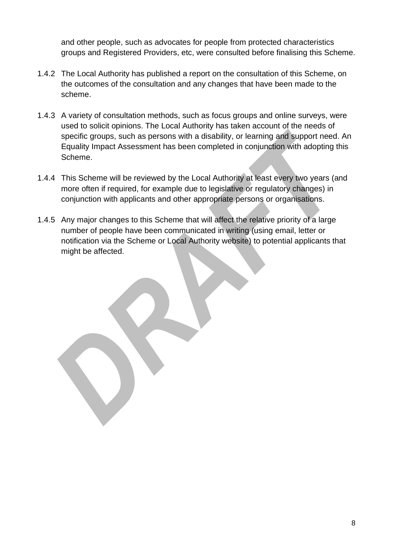and other people, such as advocates for people from protected characteristics groups and Registered Providers, etc, were consulted before finalising this Scheme.

- 1.4.2 The Local Authority has published a report on the consultation of this Scheme, on the outcomes of the consultation and any changes that have been made to the scheme.
- 1.4.3 A variety of consultation methods, such as focus groups and online surveys, were used to solicit opinions. The Local Authority has taken account of the needs of specific groups, such as persons with a disability, or learning and support need. An Equality Impact Assessment has been completed in conjunction with adopting this Scheme.
- 1.4.4 This Scheme will be reviewed by the Local Authority at least every two years (and more often if required, for example due to legislative or regulatory changes) in conjunction with applicants and other appropriate persons or organisations.
- 1.4.5 Any major changes to this Scheme that will affect the relative priority of a large number of people have been communicated in writing (using email, letter or notification via the Scheme or Local Authority website) to potential applicants that might be affected.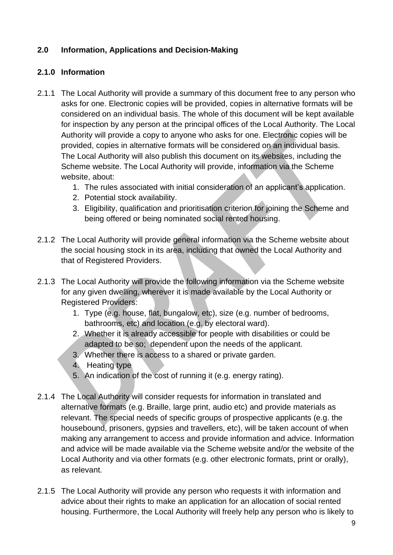#### <span id="page-8-0"></span>**2.0 Information, Applications and Decision-Making**

#### <span id="page-8-1"></span>**2.1.0 Information**

- 2.1.1 The Local Authority will provide a summary of this document free to any person who asks for one. Electronic copies will be provided, copies in alternative formats will be considered on an individual basis. The whole of this document will be kept available for inspection by any person at the principal offices of the Local Authority. The Local Authority will provide a copy to anyone who asks for one. Electronic copies will be provided, copies in alternative formats will be considered on an individual basis. The Local Authority will also publish this document on its websites, including the Scheme website. The Local Authority will provide, information via the Scheme website, about:
	- 1. The rules associated with initial consideration of an applicant's application.
	- 2. Potential stock availability.
	- 3. Eligibility, qualification and prioritisation criterion for joining the Scheme and being offered or being nominated social rented housing.
- 2.1.2 The Local Authority will provide general information via the Scheme website about the social housing stock in its area, including that owned the Local Authority and that of Registered Providers.
- 2.1.3 The Local Authority will provide the following information via the Scheme website for any given dwelling, wherever it is made available by the Local Authority or Registered Providers:
	- 1. Type (e.g. house, flat, bungalow, etc), size (e.g. number of bedrooms, bathrooms, etc) and location (e.g. by electoral ward).
	- 2. Whether it is already accessible for people with disabilities or could be adapted to be so; dependent upon the needs of the applicant.
	- 3. Whether there is access to a shared or private garden.
	- 4. Heating type
	- 5. An indication of the cost of running it (e.g. energy rating).
- 2.1.4 The Local Authority will consider requests for information in translated and alternative formats (e.g. Braille, large print, audio etc) and provide materials as relevant. The special needs of specific groups of prospective applicants (e.g. the housebound, prisoners, gypsies and travellers, etc), will be taken account of when making any arrangement to access and provide information and advice. Information and advice will be made available via the Scheme website and/or the website of the Local Authority and via other formats (e.g. other electronic formats, print or orally), as relevant.
- 2.1.5 The Local Authority will provide any person who requests it with information and advice about their rights to make an application for an allocation of social rented housing. Furthermore, the Local Authority will freely help any person who is likely to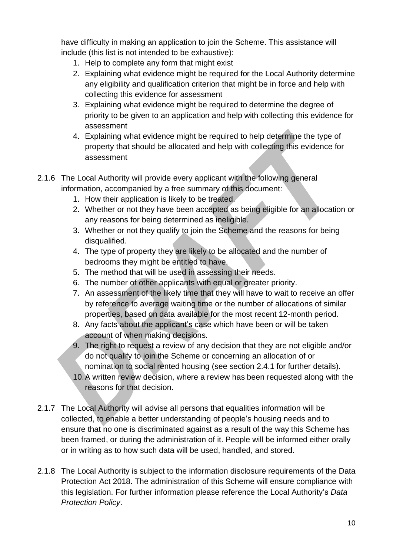have difficulty in making an application to join the Scheme. This assistance will include (this list is not intended to be exhaustive):

- 1. Help to complete any form that might exist
- 2. Explaining what evidence might be required for the Local Authority determine any eligibility and qualification criterion that might be in force and help with collecting this evidence for assessment
- 3. Explaining what evidence might be required to determine the degree of priority to be given to an application and help with collecting this evidence for assessment
- 4. Explaining what evidence might be required to help determine the type of property that should be allocated and help with collecting this evidence for assessment
- 2.1.6 The Local Authority will provide every applicant with the following general information, accompanied by a free summary of this document:
	- 1. How their application is likely to be treated.
	- 2. Whether or not they have been accepted as being eligible for an allocation or any reasons for being determined as ineligible.
	- 3. Whether or not they qualify to join the Scheme and the reasons for being disqualified.
	- 4. The type of property they are likely to be allocated and the number of bedrooms they might be entitled to have.
	- 5. The method that will be used in assessing their needs.
	- 6. The number of other applicants with equal or greater priority.
	- 7. An assessment of the likely time that they will have to wait to receive an offer by reference to average waiting time or the number of allocations of similar properties, based on data available for the most recent 12-month period.
	- 8. Any facts about the applicant's case which have been or will be taken account of when making decisions.
	- 9. The right to request a review of any decision that they are not eligible and/or do not qualify to join the Scheme or concerning an allocation of or nomination to social rented housing (see section 2.4.1 for further details).
	- 10.A written review decision, where a review has been requested along with the reasons for that decision.
- 2.1.7 The Local Authority will advise all persons that equalities information will be collected, to enable a better understanding of people's housing needs and to ensure that no one is discriminated against as a result of the way this Scheme has been framed, or during the administration of it. People will be informed either orally or in writing as to how such data will be used, handled, and stored.
- 2.1.8 The Local Authority is subject to the information disclosure requirements of the Data Protection Act 2018. The administration of this Scheme will ensure compliance with this legislation. For further information please reference the Local Authority's *Data Protection Policy*.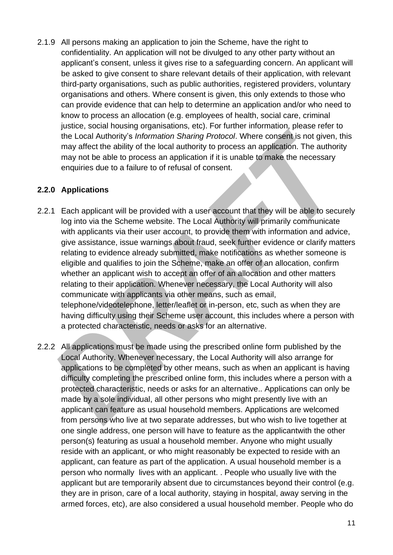2.1.9 All persons making an application to join the Scheme, have the right to confidentiality. An application will not be divulged to any other party without an applicant's consent, unless it gives rise to a safeguarding concern. An applicant will be asked to give consent to share relevant details of their application, with relevant third-party organisations, such as public authorities, registered providers, voluntary organisations and others. Where consent is given, this only extends to those who can provide evidence that can help to determine an application and/or who need to know to process an allocation (e.g. employees of health, social care, criminal justice, social housing organisations, etc). For further information, please refer to the Local Authority's *Information Sharing Protocol*. Where consent is not given, this may affect the ability of the local authority to process an application. The authority may not be able to process an application if it is unable to make the necessary enquiries due to a failure to of refusal of consent.

#### <span id="page-10-0"></span>**2.2.0 Applications**

- 2.2.1 Each applicant will be provided with a user account that they will be able to securely log into via the Scheme website. The Local Authority will primarily communicate with applicants via their user account, to provide them with information and advice, give assistance, issue warnings about fraud, seek further evidence or clarify matters relating to evidence already submitted, make notifications as whether someone is eligible and qualifies to join the Scheme, make an offer of an allocation, confirm whether an applicant wish to accept an offer of an allocation and other matters relating to their application. Whenever necessary, the Local Authority will also communicate with applicants via other means, such as email, telephone/videotelephone, letter/leaflet or in-person, etc, such as when they are having difficulty using their Scheme user account, this includes where a person with a protected characteristic, needs or asks for an alternative.
- 2.2.2 All applications must be made using the prescribed online form published by the Local Authority. Whenever necessary, the Local Authority will also arrange for applications to be completed by other means, such as when an applicant is having difficulty completing the prescribed online form, this includes where a person with a protected characteristic, needs or asks for an alternative.. Applications can only be made by a sole individual, all other persons who might presently live with an applicant can feature as usual household members. Applications are welcomed from persons who live at two separate addresses, but who wish to live together at one single address, one person will have to feature as the applicantwith the other person(s) featuring as usual a household member. Anyone who might usually reside with an applicant, or who might reasonably be expected to reside with an applicant, can feature as part of the application. A usual household member is a person who normally lives with an applicant. . People who usually live with the applicant but are temporarily absent due to circumstances beyond their control (e.g. they are in prison, care of a local authority, staying in hospital, away serving in the armed forces, etc), are also considered a usual household member. People who do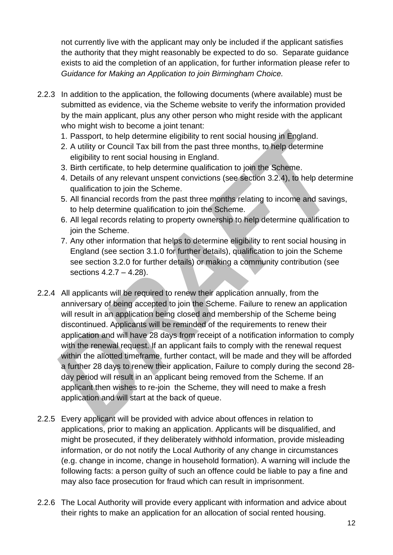not currently live with the applicant may only be included if the applicant satisfies the authority that they might reasonably be expected to do so. Separate guidance exists to aid the completion of an application, for further information please refer to *Guidance for Making an Application to join Birmingham Choice.*

- 2.2.3 In addition to the application, the following documents (where available) must be submitted as evidence, via the Scheme website to verify the information provided by the main applicant, plus any other person who might reside with the applicant who might wish to become a joint tenant:
	- 1. Passport, to help determine eligibility to rent social housing in England.
	- 2. A utility or Council Tax bill from the past three months, to help determine eligibility to rent social housing in England.
	- 3. Birth certificate, to help determine qualification to join the Scheme.
	- 4. Details of any relevant unspent convictions (see section 3.2.4), to help determine qualification to join the Scheme.
	- 5. All financial records from the past three months relating to income and savings, to help determine qualification to join the Scheme.
	- 6. All legal records relating to property ownership to help determine qualification to join the Scheme.
	- 7. Any other information that helps to determine eligibility to rent social housing in England (see section 3.1.0 for further details), qualification to join the Scheme see section 3.2.0 for further details) or making a community contribution (see sections 4.2.7 – 4.28).
- 2.2.4 All applicants will be required to renew their application annually, from the anniversary of being accepted to join the Scheme. Failure to renew an application will result in an application being closed and membership of the Scheme being discontinued. Applicants will be reminded of the requirements to renew their application and will have 28 days from receipt of a notification information to comply with the renewal request. If an applicant fails to comply with the renewal request within the allotted timeframe, further contact, will be made and they will be afforded a further 28 days to renew their application, Failure to comply during the second 28 day period will result in an applicant being removed from the Scheme. If an applicant then wishes to re-join the Scheme, they will need to make a fresh application and will start at the back of queue.
- 2.2.5 Every applicant will be provided with advice about offences in relation to applications, prior to making an application. Applicants will be disqualified, and might be prosecuted, if they deliberately withhold information, provide misleading information, or do not notify the Local Authority of any change in circumstances (e.g. change in income, change in household formation). A warning will include the following facts: a person guilty of such an offence could be liable to pay a fine and may also face prosecution for fraud which can result in imprisonment.
- 2.2.6 The Local Authority will provide every applicant with information and advice about their rights to make an application for an allocation of social rented housing.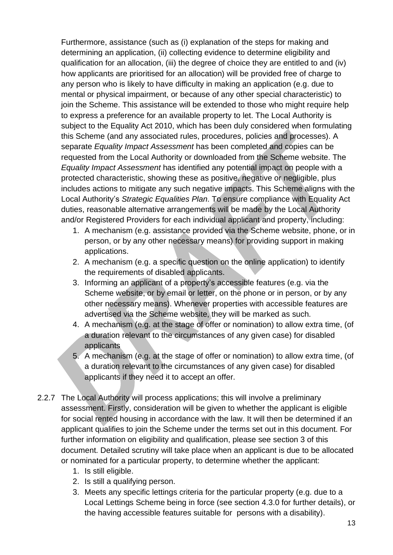Furthermore, assistance (such as (i) explanation of the steps for making and determining an application, (ii) collecting evidence to determine eligibility and qualification for an allocation, (iii) the degree of choice they are entitled to and (iv) how applicants are prioritised for an allocation) will be provided free of charge to any person who is likely to have difficulty in making an application (e.g. due to mental or physical impairment, or because of any other special characteristic) to join the Scheme. This assistance will be extended to those who might require help to express a preference for an available property to let. The Local Authority is subject to the Equality Act 2010, which has been duly considered when formulating this Scheme (and any associated rules, procedures, policies and processes). A separate *Equality Impact Assessment* has been completed and copies can be requested from the Local Authority or downloaded from the Scheme website. The *Equality Impact Assessment* has identified any potential impact on people with a protected characteristic, showing these as positive, negative or negligible, plus includes actions to mitigate any such negative impacts. This Scheme aligns with the Local Authority's *Strategic Equalities Plan*. To ensure compliance with Equality Act duties, reasonable alternative arrangements will be made by the Local Authority and/or Registered Providers for each individual applicant and property, including:

- 1. A mechanism (e.g. assistance provided via the Scheme website, phone, or in person, or by any other necessary means) for providing support in making applications.
- 2. A mechanism (e.g. a specific question on the online application) to identify the requirements of disabled applicants.
- 3. Informing an applicant of a property's accessible features (e.g. via the Scheme website, or by email or letter, on the phone or in person, or by any other necessary means). Whenever properties with accessible features are advertised via the Scheme website, they will be marked as such.
- 4. A mechanism (e.g. at the stage of offer or nomination) to allow extra time, (of a duration relevant to the circumstances of any given case) for disabled applicants
- 5. A mechanism (e.g. at the stage of offer or nomination) to allow extra time, (of a duration relevant to the circumstances of any given case) for disabled applicants if they need it to accept an offer.
- 2.2.7 The Local Authority will process applications; this will involve a preliminary assessment. Firstly, consideration will be given to whether the applicant is eligible for social rented housing in accordance with the law. It will then be determined if an applicant qualifies to join the Scheme under the terms set out in this document. For further information on eligibility and qualification, please see section 3 of this document. Detailed scrutiny will take place when an applicant is due to be allocated or nominated for a particular property, to determine whether the applicant:
	- 1. Is still eligible.
	- 2. Is still a qualifying person.
	- 3. Meets any specific lettings criteria for the particular property (e.g. due to a Local Lettings Scheme being in force (see section 4.3.0 for further details), or the having accessible features suitable for persons with a disability).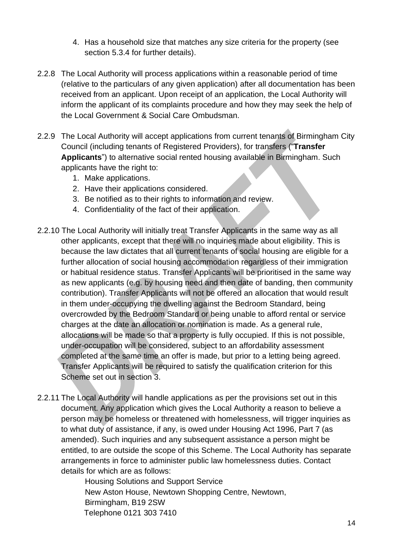- 4. Has a household size that matches any size criteria for the property (see section 5.3.4 for further details).
- 2.2.8 The Local Authority will process applications within a reasonable period of time (relative to the particulars of any given application) after all documentation has been received from an applicant. Upon receipt of an application, the Local Authority will inform the applicant of its complaints procedure and how they may seek the help of the Local Government & Social Care Ombudsman.
- 2.2.9 The Local Authority will accept applications from current tenants of Birmingham City Council (including tenants of Registered Providers), for transfers ("**Transfer Applicants**") to alternative social rented housing available in Birmingham. Such applicants have the right to:
	- 1. Make applications.
	- 2. Have their applications considered.
	- 3. Be notified as to their rights to information and review.
	- 4. Confidentiality of the fact of their application.
- 2.2.10 The Local Authority will initially treat Transfer Applicants in the same way as all other applicants, except that there will no inquiries made about eligibility. This is because the law dictates that all current tenants of social housing are eligible for a further allocation of social housing accommodation regardless of their immigration or habitual residence status. Transfer Applicants will be prioritised in the same way as new applicants (e.g. by housing need and then date of banding, then community contribution). Transfer Applicants will not be offered an allocation that would result in them under-occupying the dwelling against the Bedroom Standard, being overcrowded by the Bedroom Standard or being unable to afford rental or service charges at the date an allocation or nomination is made. As a general rule, allocations will be made so that a property is fully occupied. If this is not possible, under-occupation will be considered, subject to an affordability assessment completed at the same time an offer is made, but prior to a letting being agreed. Transfer Applicants will be required to satisfy the qualification criterion for this Scheme set out in section 3.
- 2.2.11 The Local Authority will handle applications as per the provisions set out in this document. Any application which gives the Local Authority a reason to believe a person may be homeless or threatened with homelessness, will trigger inquiries as to what duty of assistance, if any, is owed under Housing Act 1996, Part 7 (as amended). Such inquiries and any subsequent assistance a person might be entitled, to are outside the scope of this Scheme. The Local Authority has separate arrangements in force to administer public law homelessness duties. Contact details for which are as follows:

Housing Solutions and Support Service New Aston House, Newtown Shopping Centre, Newtown, Birmingham, B19 2SW Telephone 0121 303 7410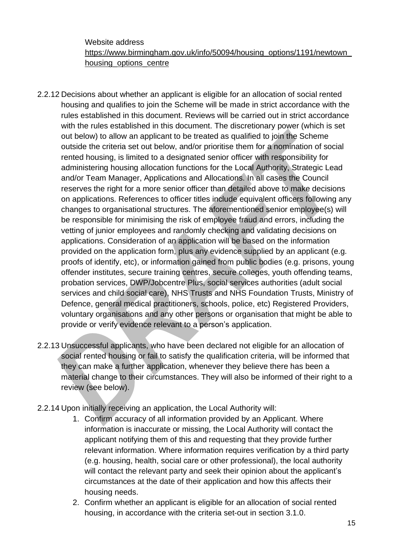Website address [https://www.birmingham.gov.uk/info/50094/housing\\_options/1191/newtown\\_](https://www.birmingham.gov.uk/info/50094/housing_options/1191/newtown_housing_options_centre) housing options centre

- 2.2.12 Decisions about whether an applicant is eligible for an allocation of social rented housing and qualifies to join the Scheme will be made in strict accordance with the rules established in this document. Reviews will be carried out in strict accordance with the rules established in this document. The discretionary power (which is set out below) to allow an applicant to be treated as qualified to join the Scheme outside the criteria set out below, and/or prioritise them for a nomination of social rented housing, is limited to a designated senior officer with responsibility for administering housing allocation functions for the Local Authority, Strategic Lead and/or Team Manager, Applications and Allocations. In all cases the Council reserves the right for a more senior officer than detailed above to make decisions on applications. References to officer titles include equivalent officers following any changes to organisational structures. The aforementioned senior employee(s) will be responsible for minimising the risk of employee fraud and errors, including the vetting of junior employees and randomly checking and validating decisions on applications. Consideration of an application will be based on the information provided on the application form, plus any evidence supplied by an applicant (e.g. proofs of identify, etc), or information gained from public bodies (e.g. prisons, young offender institutes, secure training centres, secure colleges, youth offending teams, probation services, DWP/Jobcentre Plus, social services authorities (adult social services and child social care), NHS Trusts and NHS Foundation Trusts, Ministry of Defence, general medical practitioners, schools, police, etc) Registered Providers, voluntary organisations and any other persons or organisation that might be able to provide or verify evidence relevant to a person's application.
- 2.2.13 Unsuccessful applicants, who have been declared not eligible for an allocation of social rented housing or fail to satisfy the qualification criteria, will be informed that they can make a further application, whenever they believe there has been a material change to their circumstances. They will also be informed of their right to a review (see below).
- 2.2.14 Upon initially receiving an application, the Local Authority will:
	- 1. Confirm accuracy of all information provided by an Applicant. Where information is inaccurate or missing, the Local Authority will contact the applicant notifying them of this and requesting that they provide further relevant information. Where information requires verification by a third party (e.g. housing, health, social care or other professional), the local authority will contact the relevant party and seek their opinion about the applicant's circumstances at the date of their application and how this affects their housing needs.
	- 2. Confirm whether an applicant is eligible for an allocation of social rented housing, in accordance with the criteria set-out in section 3.1.0.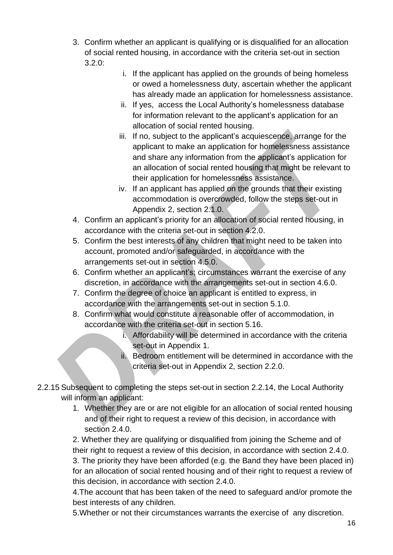- 3. Confirm whether an applicant is qualifying or is disqualified for an allocation of social rented housing, in accordance with the criteria set-out in section  $3.2.0$ :
	- i. If the applicant has applied on the grounds of being homeless or owed a homelessness duty, ascertain whether the applicant has already made an application for homelessness assistance.
	- ii. If yes, access the Local Authority's homelessness database for information relevant to the applicant's application for an allocation of social rented housing.
	- iii. If no, subject to the applicant's acquiescence, arrange for the applicant to make an application for homelessness assistance and share any information from the applicant's application for an allocation of social rented housing that might be relevant to their application for homelessness assistance.
	- iv. If an applicant has applied on the grounds that their existing accommodation is overcrowded, follow the steps set-out in Appendix 2, section 2.1.0.
- 4. Confirm an applicant's priority for an allocation of social rented housing, in accordance with the criteria set-out in section 4.2.0.
- 5. Confirm the best interests of any children that might need to be taken into account, promoted and/or safeguarded, in accordance with the arrangements set-out in section 4.5.0.
- 6. Confirm whether an applicant's; circumstances warrant the exercise of any discretion, in accordance with the arrangements set-out in section 4.6.0.
- 7. Confirm the degree of choice an applicant is entitled to express, in accordance with the arrangements set-out in section 5.1.0.
- 8. Confirm what would constitute a reasonable offer of accommodation, in accordance with the criteria set-out in section 5.16.
	- i. Affordability will be determined in accordance with the criteria set-out in Appendix 1.
	- ii. Bedroom entitlement will be determined in accordance with the criteria set-out in Appendix 2, section 2.2.0.
- 2.2.15 Subsequent to completing the steps set-out in section 2.2.14, the Local Authority will inform an applicant:
	- 1. Whether they are or are not eligible for an allocation of social rented housing and of their right to request a review of this decision, in accordance with section 2.4.0.

2. Whether they are qualifying or disqualified from joining the Scheme and of their right to request a review of this decision, in accordance with section 2.4.0. 3. The priority they have been afforded (e.g. the Band they have been placed in) for an allocation of social rented housing and of their right to request a review of this decision, in accordance with section 2.4.0.

4.The account that has been taken of the need to safeguard and/or promote the best interests of any children.

5.Whether or not their circumstances warrants the exercise of any discretion.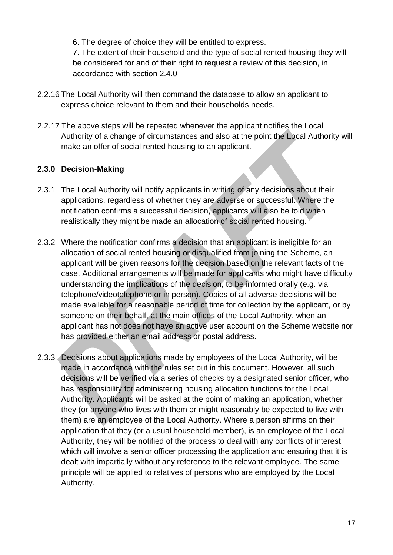6. The degree of choice they will be entitled to express.

7. The extent of their household and the type of social rented housing they will be considered for and of their right to request a review of this decision, in accordance with section 2.4.0

- 2.2.16 The Local Authority will then command the database to allow an applicant to express choice relevant to them and their households needs.
- 2.2.17 The above steps will be repeated whenever the applicant notifies the Local Authority of a change of circumstances and also at the point the Local Authority will make an offer of social rented housing to an applicant.

#### <span id="page-16-0"></span>**2.3.0 Decision-Making**

- 2.3.1 The Local Authority will notify applicants in writing of any decisions about their applications, regardless of whether they are adverse or successful. Where the notification confirms a successful decision, applicants will also be told when realistically they might be made an allocation of social rented housing.
- 2.3.2 Where the notification confirms a decision that an applicant is ineligible for an allocation of social rented housing or disqualified from joining the Scheme, an applicant will be given reasons for the decision based on the relevant facts of the case. Additional arrangements will be made for applicants who might have difficulty understanding the implications of the decision, to be informed orally (e.g. via telephone/videotelephone or in person). Copies of all adverse decisions will be made available for a reasonable period of time for collection by the applicant, or by someone on their behalf, at the main offices of the Local Authority, when an applicant has not does not have an active user account on the Scheme website nor has provided either an email address or postal address.
- 2.3.3 Decisions about applications made by employees of the Local Authority, will be made in accordance with the rules set out in this document. However, all such decisions will be verified via a series of checks by a designated senior officer, who has responsibility for administering housing allocation functions for the Local Authority. Applicants will be asked at the point of making an application, whether they (or anyone who lives with them or might reasonably be expected to live with them) are an employee of the Local Authority. Where a person affirms on their application that they (or a usual household member), is an employee of the Local Authority, they will be notified of the process to deal with any conflicts of interest which will involve a senior officer processing the application and ensuring that it is dealt with impartially without any reference to the relevant employee. The same principle will be applied to relatives of persons who are employed by the Local Authority.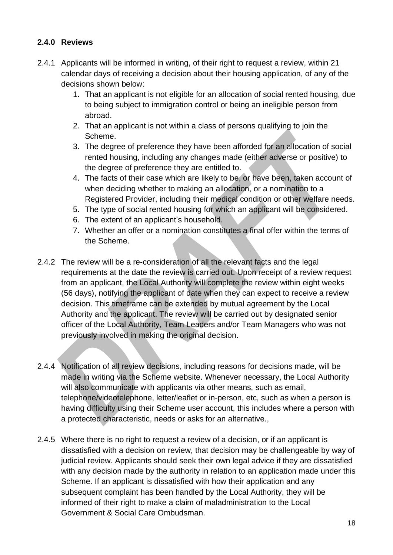### <span id="page-17-0"></span>**2.4.0 Reviews**

- 2.4.1 Applicants will be informed in writing, of their right to request a review, within 21 calendar days of receiving a decision about their housing application, of any of the decisions shown below:
	- 1. That an applicant is not eligible for an allocation of social rented housing, due to being subject to immigration control or being an ineligible person from abroad.
	- 2. That an applicant is not within a class of persons qualifying to join the Scheme.
	- 3. The degree of preference they have been afforded for an allocation of social rented housing, including any changes made (either adverse or positive) to the degree of preference they are entitled to.
	- 4. The facts of their case which are likely to be, or have been, taken account of when deciding whether to making an allocation, or a nomination to a Registered Provider, including their medical condition or other welfare needs.
	- 5. The type of social rented housing for which an applicant will be considered.
	- 6. The extent of an applicant's household.
	- 7. Whether an offer or a nomination constitutes a final offer within the terms of the Scheme.
- 2.4.2 The review will be a re-consideration of all the relevant facts and the legal requirements at the date the review is carried out. Upon receipt of a review request from an applicant, the Local Authority will complete the review within eight weeks (56 days), notifying the applicant of date when they can expect to receive a review decision. This timeframe can be extended by mutual agreement by the Local Authority and the applicant. The review will be carried out by designated senior officer of the Local Authority, Team Leaders and/or Team Managers who was not previously involved in making the original decision.
- 2.4.4 Notification of all review decisions, including reasons for decisions made, will be made in writing via the Scheme website. Whenever necessary, the Local Authority will also communicate with applicants via other means, such as email, telephone/videotelephone, letter/leaflet or in-person, etc, such as when a person is having difficulty using their Scheme user account, this includes where a person with a protected characteristic, needs or asks for an alternative.,
- 2.4.5 Where there is no right to request a review of a decision, or if an applicant is dissatisfied with a decision on review, that decision may be challengeable by way of judicial review. Applicants should seek their own legal advice if they are dissatisfied with any decision made by the authority in relation to an application made under this Scheme. If an applicant is dissatisfied with how their application and any subsequent complaint has been handled by the Local Authority, they will be informed of their right to make a claim of maladministration to the Local Government & Social Care Ombudsman.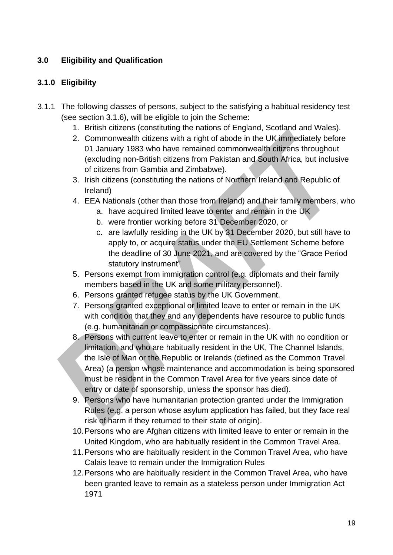# <span id="page-18-0"></span>**3.0 Eligibility and Qualification**

# <span id="page-18-1"></span>**3.1.0 Eligibility**

- 3.1.1 The following classes of persons, subject to the satisfying a habitual residency test (see section 3.1.6), will be eligible to join the Scheme:
	- 1. British citizens (constituting the nations of England, Scotland and Wales).
	- 2. Commonwealth citizens with a right of abode in the UK immediately before 01 January 1983 who have remained commonwealth citizens throughout (excluding non-British citizens from Pakistan and South Africa, but inclusive of citizens from Gambia and Zimbabwe).
	- 3. Irish citizens (constituting the nations of Northern Ireland and Republic of Ireland)
	- 4. EEA Nationals (other than those from Ireland) and their family members, who
		- a. have acquired limited leave to enter and remain in the UK
		- b. were frontier working before 31 December 2020, or
		- c. are lawfully residing in the UK by 31 December 2020, but still have to apply to, or acquire status under the EU Settlement Scheme before the deadline of 30 June 2021, and are covered by the "Grace Period statutory instrument"
	- 5. Persons exempt from immigration control (e.g. diplomats and their family members based in the UK and some military personnel).
	- 6. Persons granted refugee status by the UK Government.
	- 7. Persons granted exceptional or limited leave to enter or remain in the UK with condition that they and any dependents have resource to public funds (e.g. humanitarian or compassionate circumstances).
	- 8. Persons with current leave to enter or remain in the UK with no condition or limitation, and who are habitually resident in the UK, The Channel Islands, the Isle of Man or the Republic or Irelands (defined as the Common Travel Area) (a person whose maintenance and accommodation is being sponsored must be resident in the Common Travel Area for five years since date of entry or date of sponsorship, unless the sponsor has died).
	- 9. Persons who have humanitarian protection granted under the Immigration Rules (e.g. a person whose asylum application has failed, but they face real risk of harm if they returned to their state of origin).
	- 10.Persons who are Afghan citizens with limited leave to enter or remain in the United Kingdom, who are habitually resident in the Common Travel Area.
	- 11.Persons who are habitually resident in the Common Travel Area, who have Calais leave to remain under the Immigration Rules
	- 12.Persons who are habitually resident in the Common Travel Area, who have been granted leave to remain as a stateless person under Immigration Act 1971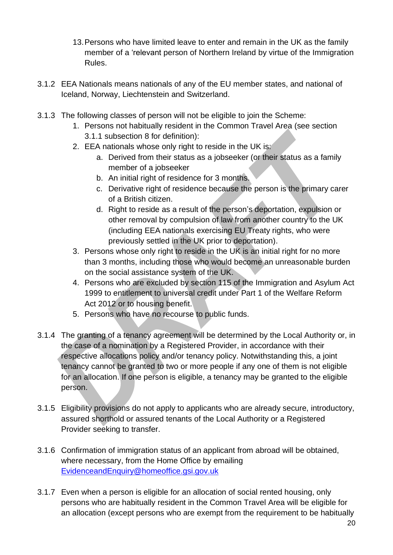- 13.Persons who have limited leave to enter and remain in the UK as the family member of a 'relevant person of Northern Ireland by virtue of the Immigration Rules.
- 3.1.2 EEA Nationals means nationals of any of the EU member states, and national of Iceland, Norway, Liechtenstein and Switzerland.
- 3.1.3 The following classes of person will not be eligible to join the Scheme:
	- 1. Persons not habitually resident in the Common Travel Area (see section 3.1.1 subsection 8 for definition):
	- 2. EEA nationals whose only right to reside in the UK is:
		- a. Derived from their status as a jobseeker (or their status as a family member of a jobseeker
		- b. An initial right of residence for 3 months.
		- c. Derivative right of residence because the person is the primary carer of a British citizen.
		- d. Right to reside as a result of the person's deportation, expulsion or other removal by compulsion of law from another country to the UK (including EEA nationals exercising EU Treaty rights, who were previously settled in the UK prior to deportation).
	- 3. Persons whose only right to reside in the UK is an initial right for no more than 3 months, including those who would become an unreasonable burden on the social assistance system of the UK.
	- 4. Persons who are excluded by section 115 of the Immigration and Asylum Act 1999 to entitlement to universal credit under Part 1 of the Welfare Reform Act 2012 or to housing benefit.
	- 5. Persons who have no recourse to public funds.
- 3.1.4 The granting of a tenancy agreement will be determined by the Local Authority or, in the case of a nomination by a Registered Provider, in accordance with their respective allocations policy and/or tenancy policy. Notwithstanding this, a joint tenancy cannot be granted to two or more people if any one of them is not eligible for an allocation. If one person is eligible, a tenancy may be granted to the eligible person.
- 3.1.5 Eligibility provisions do not apply to applicants who are already secure, introductory, assured shorthold or assured tenants of the Local Authority or a Registered Provider seeking to transfer.
- 3.1.6 Confirmation of immigration status of an applicant from abroad will be obtained, where necessary, from the Home Office by emailing [EvidenceandEnquiry@homeoffice.gsi.gov.uk](mailto:EvidenceandEnquiry@homeoffice.gsi.gov.uk)
- 3.1.7 Even when a person is eligible for an allocation of social rented housing, only persons who are habitually resident in the Common Travel Area will be eligible for an allocation (except persons who are exempt from the requirement to be habitually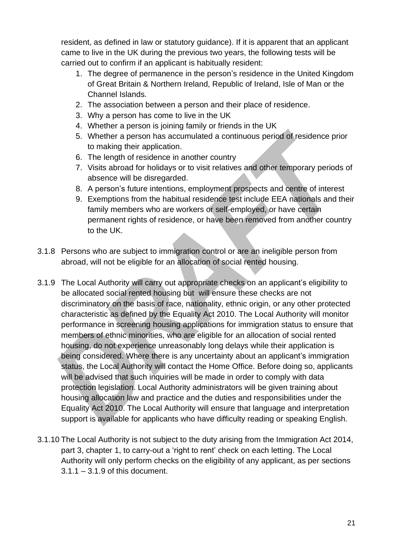resident, as defined in law or statutory guidance). If it is apparent that an applicant came to live in the UK during the previous two years, the following tests will be carried out to confirm if an applicant is habitually resident:

- 1. The degree of permanence in the person's residence in the United Kingdom of Great Britain & Northern Ireland, Republic of Ireland, Isle of Man or the Channel Islands.
- 2. The association between a person and their place of residence.
- 3. Why a person has come to live in the UK
- 4. Whether a person is joining family or friends in the UK
- 5. Whether a person has accumulated a continuous period of residence prior to making their application.
- 6. The length of residence in another country
- 7. Visits abroad for holidays or to visit relatives and other temporary periods of absence will be disregarded.
- 8. A person's future intentions, employment prospects and centre of interest
- 9. Exemptions from the habitual residence test include EEA nationals and their family members who are workers or self-employed, or have certain permanent rights of residence, or have been removed from another country to the UK.
- 3.1.8 Persons who are subject to immigration control or are an ineligible person from abroad, will not be eligible for an allocation of social rented housing.
- 3.1.9 The Local Authority will carry out appropriate checks on an applicant's eligibility to be allocated social rented housing but will ensure these checks are not discriminatory on the basis of race, nationality, ethnic origin, or any other protected characteristic as defined by the Equality Act 2010. The Local Authority will monitor performance in screening housing applications for immigration status to ensure that members of ethnic minorities, who are eligible for an allocation of social rented housing, do not experience unreasonably long delays while their application is being considered. Where there is any uncertainty about an applicant's immigration status, the Local Authority will contact the Home Office. Before doing so, applicants will be advised that such inquiries will be made in order to comply with data protection legislation. Local Authority administrators will be given training about housing allocation law and practice and the duties and responsibilities under the Equality Act 2010. The Local Authority will ensure that language and interpretation support is available for applicants who have difficulty reading or speaking English.
- 3.1.10 The Local Authority is not subject to the duty arising from the Immigration Act 2014, part 3, chapter 1, to carry-out a 'right to rent' check on each letting. The Local Authority will only perform checks on the eligibility of any applicant, as per sections 3.1.1 – 3.1.9 of this document.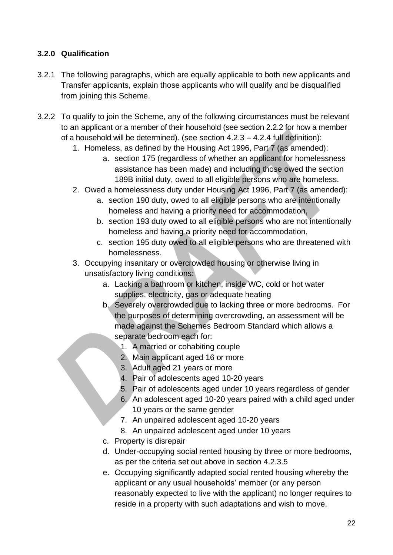# <span id="page-21-0"></span>**3.2.0 Qualification**

- 3.2.1 The following paragraphs, which are equally applicable to both new applicants and Transfer applicants, explain those applicants who will qualify and be disqualified from joining this Scheme.
- 3.2.2 To qualify to join the Scheme, any of the following circumstances must be relevant to an applicant or a member of their household (see section 2.2.2 for how a member of a household will be determined). (see section 4.2.3 – 4.2.4 full definition):
	- 1. Homeless, as defined by the Housing Act 1996, Part 7 (as amended):
		- a. section 175 (regardless of whether an applicant for homelessness assistance has been made) and including those owed the section 189B initial duty, owed to all eligible persons who are homeless.
	- 2. Owed a homelessness duty under Housing Act 1996, Part 7 (as amended):
		- a. section 190 duty, owed to all eligible persons who are intentionally homeless and having a priority need for accommodation,
		- b. section 193 duty owed to all eligible persons who are not intentionally homeless and having a priority need for accommodation,
		- c. section 195 duty owed to all eligible persons who are threatened with homelessness.
	- 3. Occupying insanitary or overcrowded housing or otherwise living in unsatisfactory living conditions:
		- a. Lacking a bathroom or kitchen, inside WC, cold or hot water supplies, electricity, gas or adequate heating
		- b. Severely overcrowded due to lacking three or more bedrooms. For the purposes of determining overcrowding, an assessment will be made against the Schemes Bedroom Standard which allows a separate bedroom each for:
			- 1. A married or cohabiting couple
			- 2. Main applicant aged 16 or more
			- 3. Adult aged 21 years or more
			- 4. Pair of adolescents aged 10-20 years
			- 5. Pair of adolescents aged under 10 years regardless of gender
			- 6. An adolescent aged 10-20 years paired with a child aged under 10 years or the same gender
			- 7. An unpaired adolescent aged 10-20 years
			- 8. An unpaired adolescent aged under 10 years
		- c. Property is disrepair
		- d. Under-occupying social rented housing by three or more bedrooms, as per the criteria set out above in section 4.2.3.5
		- e. Occupying significantly adapted social rented housing whereby the applicant or any usual households' member (or any person reasonably expected to live with the applicant) no longer requires to reside in a property with such adaptations and wish to move.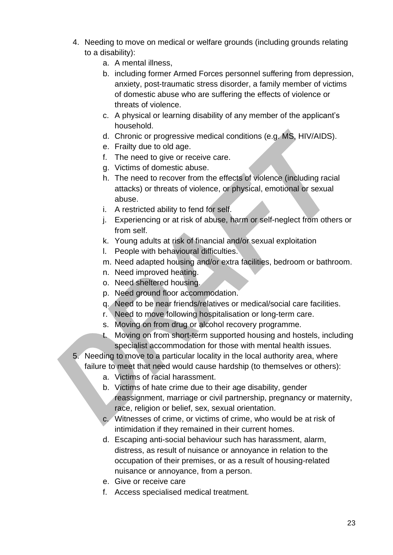- 4. Needing to move on medical or welfare grounds (including grounds relating to a disability):
	- a. A mental illness,
	- b. including former Armed Forces personnel suffering from depression, anxiety, post-traumatic stress disorder, a family member of victims of domestic abuse who are suffering the effects of violence or threats of violence.
	- c. A physical or learning disability of any member of the applicant's household.
	- d. Chronic or progressive medical conditions (e.g. MS, HIV/AIDS).
	- e. Frailty due to old age.
	- f. The need to give or receive care.
	- g. Victims of domestic abuse.
	- h. The need to recover from the effects of violence (including racial attacks) or threats of violence, or physical, emotional or sexual abuse.
	- i. A restricted ability to fend for self.
	- j. Experiencing or at risk of abuse, harm or self-neglect from others or from self.
	- k. Young adults at risk of financial and/or sexual exploitation
	- l. People with behavioural difficulties.
	- m. Need adapted housing and/or extra facilities, bedroom or bathroom.
	- n. Need improved heating.
	- o. Need sheltered housing.
	- p. Need ground floor accommodation.
	- q. Need to be near friends/relatives or medical/social care facilities.
	- r. Need to move following hospitalisation or long-term care.
	- s. Moving on from drug or alcohol recovery programme.
	- t. Moving on from short-term supported housing and hostels, including specialist accommodation for those with mental health issues.
- 5. Needing to move to a particular locality in the local authority area, where failure to meet that need would cause hardship (to themselves or others):
	- a. Victims of racial harassment.
	- b. Victims of hate crime due to their age disability, gender reassignment, marriage or civil partnership, pregnancy or maternity, race, religion or belief, sex, sexual orientation.
	- c. Witnesses of crime, or victims of crime, who would be at risk of intimidation if they remained in their current homes.
	- d. Escaping anti-social behaviour such has harassment, alarm, distress, as result of nuisance or annoyance in relation to the occupation of their premises, or as a result of housing-related nuisance or annoyance, from a person.
	- e. Give or receive care
	- f. Access specialised medical treatment.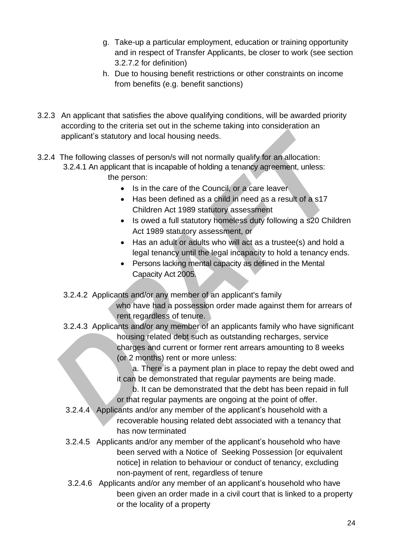- g. Take-up a particular employment, education or training opportunity and in respect of Transfer Applicants, be closer to work (see section 3.2.7.2 for definition)
- h. Due to housing benefit restrictions or other constraints on income from benefits (e.g. benefit sanctions)
- 3.2.3 An applicant that satisfies the above qualifying conditions, will be awarded priority according to the criteria set out in the scheme taking into consideration an applicant's statutory and local housing needs.
- 3.2.4 The following classes of person/s will not normally qualify for an allocation: 3.2.4.1 An applicant that is incapable of holding a tenancy agreement, unless: the person:
	- Is in the care of the Council, or a care leaver
	- Has been defined as a child in need as a result of a s17 Children Act 1989 statutory assessment
	- Is owed a full statutory homeless duty following a s20 Children Act 1989 statutory assessment, or
	- Has an adult or adults who will act as a trustee(s) and hold a legal tenancy until the legal incapacity to hold a tenancy ends.
	- Persons lacking mental capacity as defined in the Mental Capacity Act 2005.
	- 3.2.4.2 Applicants and/or any member of an applicant's family

 who have had a possession order made against them for arrears of rent regardless of tenure.

3.2.4.3 Applicants and/or any member of an applicants family who have significant housing related debt such as outstanding recharges, service charges and current or former rent arrears amounting to 8 weeks (or 2 months) rent or more unless:

> a. There is a payment plan in place to repay the debt owed and it can be demonstrated that regular payments are being made.

b. It can be demonstrated that the debt has been repaid in full or that regular payments are ongoing at the point of offer.

- 3.2.4.4 Applicants and/or any member of the applicant's household with a recoverable housing related debt associated with a tenancy that has now terminated
- 3.2.4.5 Applicants and/or any member of the applicant's household who have been served with a Notice of Seeking Possession for equivalent notice] in relation to behaviour or conduct of tenancy, excluding non-payment of rent, regardless of tenure
- 3.2.4.6 Applicants and/or any member of an applicant's household who have been given an order made in a civil court that is linked to a property or the locality of a property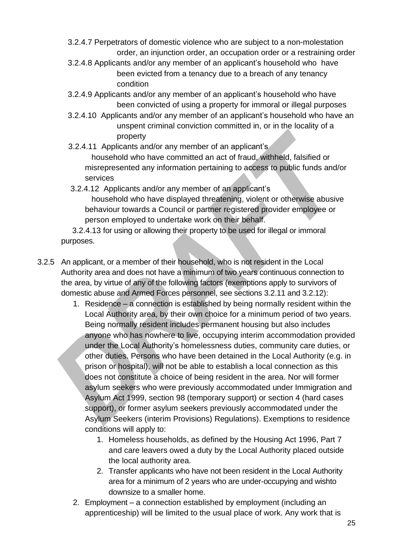- 3.2.4.7 Perpetrators of domestic violence who are subject to a non-molestation order, an injunction order, an occupation order or a restraining order
- 3.2.4.8 Applicants and/or any member of an applicant's household who have been evicted from a tenancy due to a breach of any tenancy condition
- 3.2.4.9 Applicants and/or any member of an applicant's household who have been convicted of using a property for immoral or illegal purposes
- 3.2.4.10 Applicants and/or any member of an applicant's household who have an unspent criminal conviction committed in, or in the locality of a property
- 3.2.4.11 Applicants and/or any member of an applicant's household who have committed an act of fraud, withheld, falsified or misrepresented any information pertaining to access to public funds and/or services
- 3.2.4.12 Applicants and/or any member of an applicant's household who have displayed threatening, violent or otherwise abusive behaviour towards a Council or partner registered provider employee or person employed to undertake work on their behalf.

 3.2.4.13 for using or allowing their property to be used for illegal or immoral purposes.

- 3.2.5 An applicant, or a member of their household, who is not resident in the Local Authority area and does not have a minimum of two years continuous connection to the area, by virtue of any of the following factors (exemptions apply to survivors of domestic abuse and Armed Forces personnel, see sections 3.2.11 and 3.2.12):
	- 1. Residence a connection is established by being normally resident within the Local Authority area, by their own choice for a minimum period of two years. Being normally resident includes permanent housing but also includes anyone who has nowhere to live, occupying interim accommodation provided under the Local Authority's homelessness duties, community care duties, or other duties. Persons who have been detained in the Local Authority (e.g. in prison or hospital), will not be able to establish a local connection as this does not constitute a choice of being resident in the area. Nor will former asylum seekers who were previously accommodated under Immigration and Asylum Act 1999, section 98 (temporary support) or section 4 (hard cases support), or former asylum seekers previously accommodated under the Asylum Seekers (interim Provisions) Regulations). Exemptions to residence conditions will apply to:
		- 1. Homeless households, as defined by the Housing Act 1996, Part 7 and care leavers owed a duty by the Local Authority placed outside the local authority area.
		- 2. Transfer applicants who have not been resident in the Local Authority area for a minimum of 2 years who are under-occupying and wishto downsize to a smaller home.
	- 2. Employment a connection established by employment (including an apprenticeship) will be limited to the usual place of work. Any work that is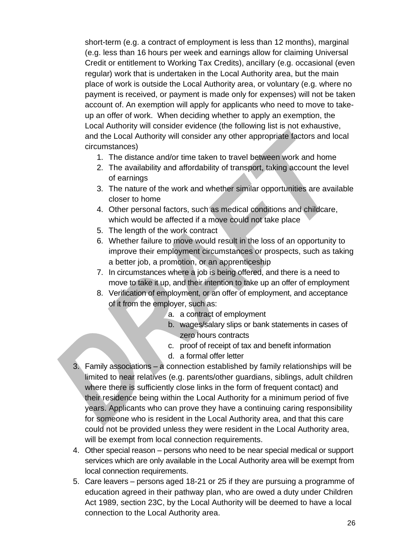short-term (e.g. a contract of employment is less than 12 months), marginal (e.g. less than 16 hours per week and earnings allow for claiming Universal Credit or entitlement to Working Tax Credits), ancillary (e.g. occasional (even regular) work that is undertaken in the Local Authority area, but the main place of work is outside the Local Authority area, or voluntary (e.g. where no payment is received, or payment is made only for expenses) will not be taken account of. An exemption will apply for applicants who need to move to takeup an offer of work. When deciding whether to apply an exemption, the Local Authority will consider evidence (the following list is not exhaustive, and the Local Authority will consider any other appropriate factors and local circumstances)

- 1. The distance and/or time taken to travel between work and home
- 2. The availability and affordability of transport, taking account the level of earnings
- 3. The nature of the work and whether similar opportunities are available closer to home
- 4. Other personal factors, such as medical conditions and childcare, which would be affected if a move could not take place
- 5. The length of the work contract
- 6. Whether failure to move would result in the loss of an opportunity to improve their employment circumstances or prospects, such as taking a better job, a promotion, or an apprenticeship
- 7. In circumstances where a job is being offered, and there is a need to move to take it up, and their intention to take up an offer of employment
- 8. Verification of employment, or an offer of employment, and acceptance of it from the employer, such as:
	- a. a contract of employment
	- b. wages/salary slips or bank statements in cases of zero hours contracts
	- c. proof of receipt of tax and benefit information
	- d. a formal offer letter
- 3. Family associations a connection established by family relationships will be limited to near relatives (e.g. parents/other guardians, siblings, adult children where there is sufficiently close links in the form of frequent contact) and their residence being within the Local Authority for a minimum period of five years. Applicants who can prove they have a continuing caring responsibility for someone who is resident in the Local Authority area, and that this care could not be provided unless they were resident in the Local Authority area, will be exempt from local connection requirements.
- 4. Other special reason persons who need to be near special medical or support services which are only available in the Local Authority area will be exempt from local connection requirements.
- 5. Care leavers persons aged 18-21 or 25 if they are pursuing a programme of education agreed in their pathway plan, who are owed a duty under Children Act 1989, section 23C, by the Local Authority will be deemed to have a local connection to the Local Authority area.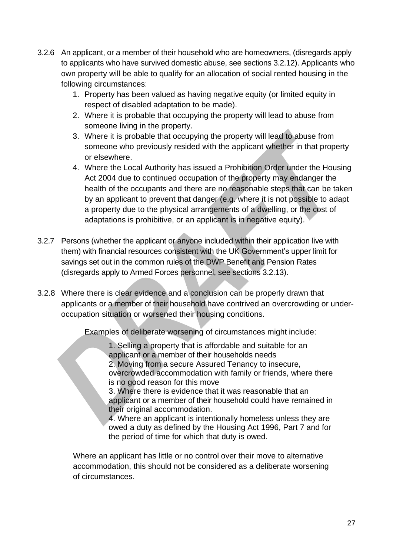- 3.2.6 An applicant, or a member of their household who are homeowners, (disregards apply to applicants who have survived domestic abuse, see sections 3.2.12). Applicants who own property will be able to qualify for an allocation of social rented housing in the following circumstances:
	- 1. Property has been valued as having negative equity (or limited equity in respect of disabled adaptation to be made).
	- 2. Where it is probable that occupying the property will lead to abuse from someone living in the property.
	- 3. Where it is probable that occupying the property will lead to abuse from someone who previously resided with the applicant whether in that property or elsewhere.
	- 4. Where the Local Authority has issued a Prohibition Order under the Housing Act 2004 due to continued occupation of the property may endanger the health of the occupants and there are no reasonable steps that can be taken by an applicant to prevent that danger (e.g. where it is not possible to adapt a property due to the physical arrangements of a dwelling, or the cost of adaptations is prohibitive, or an applicant is in negative equity).
- 3.2.7 Persons (whether the applicant or anyone included within their application live with them) with financial resources consistent with the UK Government's upper limit for savings set out in the common rules of the DWP Benefit and Pension Rates (disregards apply to Armed Forces personnel, see sections 3.2.13).
- 3.2.8 Where there is clear evidence and a conclusion can be properly drawn that applicants or a member of their household have contrived an overcrowding or underoccupation situation or worsened their housing conditions.

Examples of deliberate worsening of circumstances might include:

1. Selling a property that is affordable and suitable for an applicant or a member of their households needs 2. Moving from a secure Assured Tenancy to insecure, overcrowded accommodation with family or friends, where there

is no good reason for this move

3. Where there is evidence that it was reasonable that an applicant or a member of their household could have remained in their original accommodation.

4. Where an applicant is intentionally homeless unless they are owed a duty as defined by the Housing Act 1996, Part 7 and for the period of time for which that duty is owed.

Where an applicant has little or no control over their move to alternative accommodation, this should not be considered as a deliberate worsening of circumstances.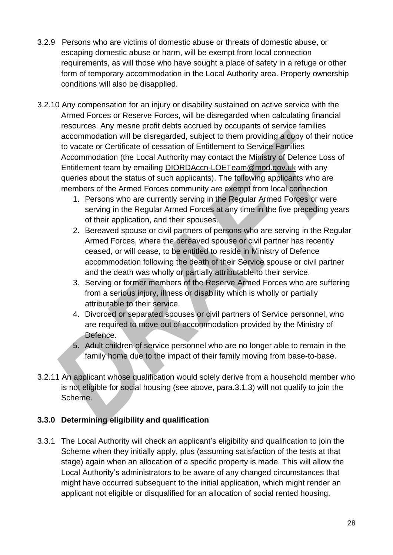- 3.2.9 Persons who are victims of domestic abuse or threats of domestic abuse, or escaping domestic abuse or harm, will be exempt from local connection requirements, as will those who have sought a place of safety in a refuge or other form of temporary accommodation in the Local Authority area. Property ownership conditions will also be disapplied.
- 3.2.10 Any compensation for an injury or disability sustained on active service with the Armed Forces or Reserve Forces, will be disregarded when calculating financial resources. Any mesne profit debts accrued by occupants of service families accommodation will be disregarded, subject to them providing a copy of their notice to vacate or Certificate of cessation of Entitlement to Service Families Accommodation (the Local Authority may contact the Ministry of Defence Loss of Entitlement team by emailing [DIORDAccn-LOETeam@mod.gov.uk](mailto:DIORDAccn-LOETeam@mod.gov.uk) with any queries about the status of such applicants). The following applicants who are members of the Armed Forces community are exempt from local connection
	- 1. Persons who are currently serving in the Regular Armed Forces or were serving in the Regular Armed Forces at any time in the five preceding years of their application, and their spouses.
	- 2. Bereaved spouse or civil partners of persons who are serving in the Regular Armed Forces, where the bereaved spouse or civil partner has recently ceased, or will cease, to be entitled to reside in Ministry of Defence accommodation following the death of their Service spouse or civil partner and the death was wholly or partially attributable to their service.
	- 3. Serving or former members of the Reserve Armed Forces who are suffering from a serious injury, illness or disability which is wholly or partially attributable to their service.
	- 4. Divorced or separated spouses or civil partners of Service personnel, who are required to move out of accommodation provided by the Ministry of Defence.
	- 5. Adult children of service personnel who are no longer able to remain in the family home due to the impact of their family moving from base-to-base.
- 3.2.11 An applicant whose qualification would solely derive from a household member who is not eligible for social housing (see above, para.3.1.3) will not qualify to join the Scheme.

# <span id="page-27-0"></span>**3.3.0 Determining eligibility and qualification**

3.3.1 The Local Authority will check an applicant's eligibility and qualification to join the Scheme when they initially apply, plus (assuming satisfaction of the tests at that stage) again when an allocation of a specific property is made. This will allow the Local Authority's administrators to be aware of any changed circumstances that might have occurred subsequent to the initial application, which might render an applicant not eligible or disqualified for an allocation of social rented housing.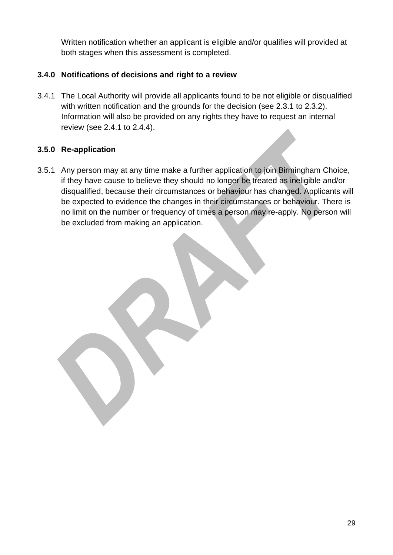Written notification whether an applicant is eligible and/or qualifies will provided at both stages when this assessment is completed.

# <span id="page-28-0"></span>**3.4.0 Notifications of decisions and right to a review**

3.4.1 The Local Authority will provide all applicants found to be not eligible or disqualified with written notification and the grounds for the decision (see 2.3.1 to 2.3.2). Information will also be provided on any rights they have to request an internal review (see 2.4.1 to 2.4.4).

# <span id="page-28-1"></span>**3.5.0 Re-application**

3.5.1 Any person may at any time make a further application to join Birmingham Choice, if they have cause to believe they should no longer be treated as ineligible and/or disqualified, because their circumstances or behaviour has changed. Applicants will be expected to evidence the changes in their circumstances or behaviour. There is no limit on the number or frequency of times a person may re-apply. No person will be excluded from making an application.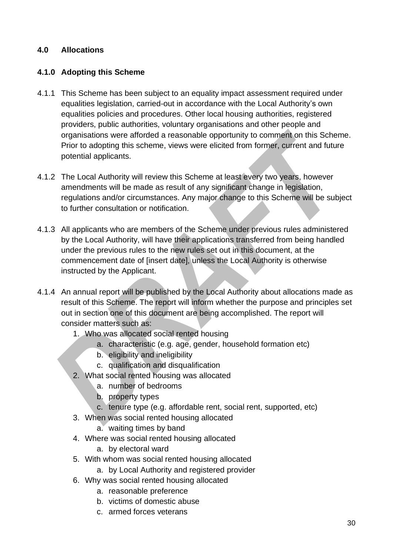#### <span id="page-29-0"></span>**4.0 Allocations**

#### <span id="page-29-1"></span>**4.1.0 Adopting this Scheme**

- 4.1.1 This Scheme has been subject to an equality impact assessment required under equalities legislation, carried-out in accordance with the Local Authority's own equalities policies and procedures. Other local housing authorities, registered providers, public authorities, voluntary organisations and other people and organisations were afforded a reasonable opportunity to comment on this Scheme. Prior to adopting this scheme, views were elicited from former, current and future potential applicants.
- 4.1.2 The Local Authority will review this Scheme at least every two years, however amendments will be made as result of any significant change in legislation, regulations and/or circumstances. Any major change to this Scheme will be subject to further consultation or notification.
- 4.1.3 All applicants who are members of the Scheme under previous rules administered by the Local Authority, will have their applications transferred from being handled under the previous rules to the new rules set out in this document, at the commencement date of [insert date], unless the Local Authority is otherwise instructed by the Applicant.
- 4.1.4 An annual report will be published by the Local Authority about allocations made as result of this Scheme. The report will inform whether the purpose and principles set out in section one of this document are being accomplished. The report will consider matters such as:
	- 1. Who was allocated social rented housing
		- a. characteristic (e.g. age, gender, household formation etc)
		- b. eligibility and ineligibility
		- c. qualification and disqualification
	- 2. What social rented housing was allocated
		- a. number of bedrooms
		- b. property types
		- c. tenure type (e.g. affordable rent, social rent, supported, etc)
	- 3. When was social rented housing allocated
		- a. waiting times by band
	- 4. Where was social rented housing allocated

a. by electoral ward

- 5. With whom was social rented housing allocated
	- a. by Local Authority and registered provider
- 6. Why was social rented housing allocated
	- a. reasonable preference
	- b. victims of domestic abuse
	- c. armed forces veterans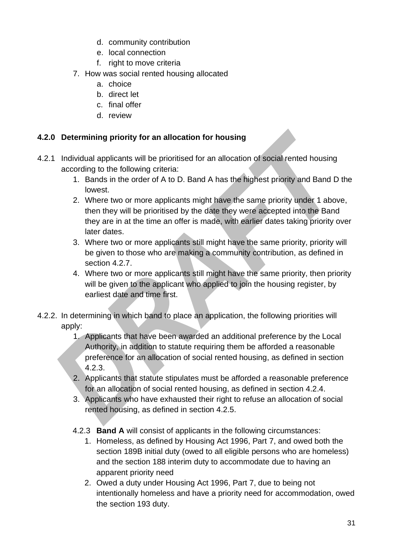- d. community contribution
- e. local connection
- f. right to move criteria
- 7. How was social rented housing allocated
	- a. choice
	- b. direct let
	- c. final offer
	- d. review

#### <span id="page-30-0"></span>**4.2.0 Determining priority for an allocation for housing**

- 4.2.1 Individual applicants will be prioritised for an allocation of social rented housing according to the following criteria:
	- 1. Bands in the order of A to D. Band A has the highest priority and Band D the lowest.
	- 2. Where two or more applicants might have the same priority under 1 above, then they will be prioritised by the date they were accepted into the Band they are in at the time an offer is made, with earlier dates taking priority over later dates.
	- 3. Where two or more applicants still might have the same priority, priority will be given to those who are making a community contribution, as defined in section 4.2.7.
	- 4. Where two or more applicants still might have the same priority, then priority will be given to the applicant who applied to join the housing register, by earliest date and time first.
- 4.2.2. In determining in which band to place an application, the following priorities will apply:
	- 1. Applicants that have been awarded an additional preference by the Local Authority, in addition to statute requiring them be afforded a reasonable preference for an allocation of social rented housing, as defined in section 4.2.3.
	- 2. Applicants that statute stipulates must be afforded a reasonable preference for an allocation of social rented housing, as defined in section 4.2.4.
	- 3. Applicants who have exhausted their right to refuse an allocation of social rented housing, as defined in section 4.2.5.
	- 4.2.3 **Band A** will consist of applicants in the following circumstances:
		- 1. Homeless, as defined by Housing Act 1996, Part 7, and owed both the section 189B initial duty (owed to all eligible persons who are homeless) and the section 188 interim duty to accommodate due to having an apparent priority need
		- 2. Owed a duty under Housing Act 1996, Part 7, due to being not intentionally homeless and have a priority need for accommodation, owed the section 193 duty.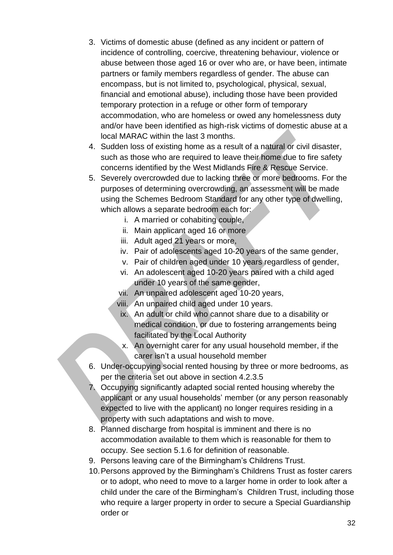- 3. Victims of domestic abuse (defined as any incident or pattern of incidence of controlling, coercive, threatening behaviour, violence or abuse between those aged 16 or over who are, or have been, intimate partners or family members regardless of gender. The abuse can encompass, but is not limited to, psychological, physical, sexual, financial and emotional abuse), including those have been provided temporary protection in a refuge or other form of temporary accommodation, who are homeless or owed any homelessness duty and/or have been identified as high-risk victims of domestic abuse at a local MARAC within the last 3 months.
- 4. Sudden loss of existing home as a result of a natural or civil disaster, such as those who are required to leave their home due to fire safety concerns identified by the West Midlands Fire & Rescue Service.
- 5. Severely overcrowded due to lacking three or more bedrooms. For the purposes of determining overcrowding, an assessment will be made using the Schemes Bedroom Standard for any other type of dwelling, which allows a separate bedroom each for:
	- i. A married or cohabiting couple,
	- ii. Main applicant aged 16 or more
	- iii. Adult aged 21 years or more,
	- iv. Pair of adolescents aged 10-20 years of the same gender,
	- v. Pair of children aged under 10 years regardless of gender,
	- vi. An adolescent aged 10-20 years paired with a child aged under 10 years of the same gender,
	- vii. An unpaired adolescent aged 10-20 years,
	- viii. An unpaired child aged under 10 years.
	- ix. An adult or child who cannot share due to a disability or medical condition, or due to fostering arrangements being facilitated by the Local Authority
	- x. An overnight carer for any usual household member, if the carer isn't a usual household member
- 6. Under-occupying social rented housing by three or more bedrooms, as per the criteria set out above in section 4.2.3.5
- 7. Occupying significantly adapted social rented housing whereby the applicant or any usual households' member (or any person reasonably expected to live with the applicant) no longer requires residing in a property with such adaptations and wish to move.
- 8. Planned discharge from hospital is imminent and there is no accommodation available to them which is reasonable for them to occupy. See section 5.1.6 for definition of reasonable.
- 9. Persons leaving care of the Birmingham's Childrens Trust.
- 10.Persons approved by the Birmingham's Childrens Trust as foster carers or to adopt, who need to move to a larger home in order to look after a child under the care of the Birmingham's Children Trust, including those who require a larger property in order to secure a Special Guardianship order or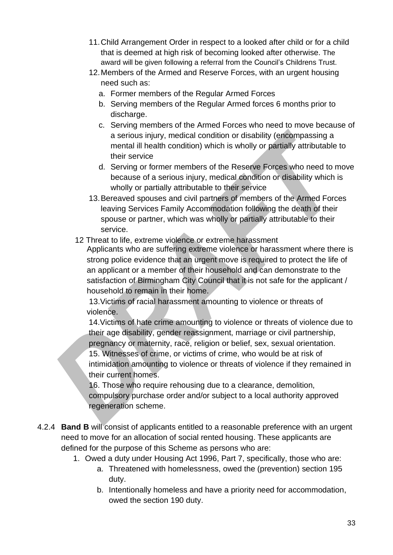- 11.Child Arrangement Order in respect to a looked after child or for a child that is deemed at high risk of becoming looked after otherwise. The award will be given following a referral from the Council's Childrens Trust.
- 12.Members of the Armed and Reserve Forces, with an urgent housing need such as:
	- a. Former members of the Regular Armed Forces
	- b. Serving members of the Regular Armed forces 6 months prior to discharge.
	- c. Serving members of the Armed Forces who need to move because of a serious injury, medical condition or disability (encompassing a mental ill health condition) which is wholly or partially attributable to their service
	- d. Serving or former members of the Reserve Forces who need to move because of a serious injury, medical condition or disability which is wholly or partially attributable to their service
- 13.Bereaved spouses and civil partners of members of the Armed Forces leaving Services Family Accommodation following the death of their spouse or partner, which was wholly or partially attributable to their service.
- 12 Threat to life, extreme violence or extreme harassment

Applicants who are suffering extreme violence or harassment where there is strong police evidence that an urgent move is required to protect the life of an applicant or a member of their household and can demonstrate to the satisfaction of Birmingham City Council that it is not safe for the applicant / household to remain in their home.

13.Victims of racial harassment amounting to violence or threats of violence.

14.Victims of hate crime amounting to violence or threats of violence due to their age disability, gender reassignment, marriage or civil partnership, pregnancy or maternity, race, religion or belief, sex, sexual orientation.

15. Witnesses of crime, or victims of crime, who would be at risk of intimidation amounting to violence or threats of violence if they remained in their current homes.

16. Those who require rehousing due to a clearance, demolition, compulsory purchase order and/or subject to a local authority approved regeneration scheme.

- 4.2.4 **Band B** will consist of applicants entitled to a reasonable preference with an urgent need to move for an allocation of social rented housing. These applicants are defined for the purpose of this Scheme as persons who are:
	- 1. Owed a duty under Housing Act 1996, Part 7, specifically, those who are:
		- a. Threatened with homelessness, owed the (prevention) section 195 duty.
		- b. Intentionally homeless and have a priority need for accommodation, owed the section 190 duty.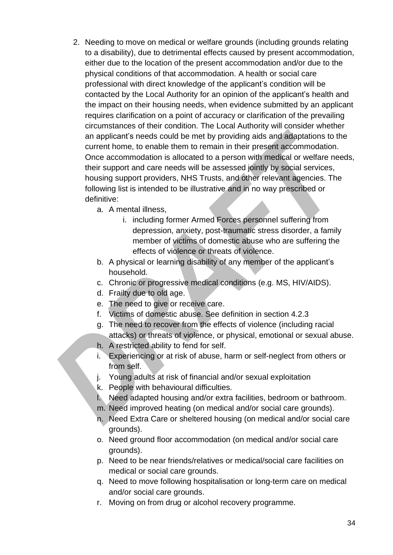- 2. Needing to move on medical or welfare grounds (including grounds relating to a disability), due to detrimental effects caused by present accommodation, either due to the location of the present accommodation and/or due to the physical conditions of that accommodation. A health or social care professional with direct knowledge of the applicant's condition will be contacted by the Local Authority for an opinion of the applicant's health and the impact on their housing needs, when evidence submitted by an applicant requires clarification on a point of accuracy or clarification of the prevailing circumstances of their condition. The Local Authority will consider whether an applicant's needs could be met by providing aids and adaptations to the current home, to enable them to remain in their present accommodation. Once accommodation is allocated to a person with medical or welfare needs, their support and care needs will be assessed jointly by social services, housing support providers, NHS Trusts, and other relevant agencies. The following list is intended to be illustrative and in no way prescribed or definitive:
	- a. A mental illness,
		- i. including former Armed Forces personnel suffering from depression, anxiety, post-traumatic stress disorder, a family member of victims of domestic abuse who are suffering the effects of violence or threats of violence.
	- b. A physical or learning disability of any member of the applicant's household.
	- c. Chronic or progressive medical conditions (e.g. MS, HIV/AIDS).
	- d. Frailty due to old age.
	- e. The need to give or receive care.
	- f. Victims of domestic abuse. See definition in section 4.2.3
	- g. The need to recover from the effects of violence (including racial attacks) or threats of violence, or physical, emotional or sexual abuse.
	- h. A restricted ability to fend for self.
	- i. Experiencing or at risk of abuse, harm or self-neglect from others or from self.
	- j. Young adults at risk of financial and/or sexual exploitation
	- k. People with behavioural difficulties.
	- l. Need adapted housing and/or extra facilities, bedroom or bathroom.
	- m. Need improved heating (on medical and/or social care grounds).
	- n. Need Extra Care or sheltered housing (on medical and/or social care grounds).
	- o. Need ground floor accommodation (on medical and/or social care grounds).
	- p. Need to be near friends/relatives or medical/social care facilities on medical or social care grounds.
	- q. Need to move following hospitalisation or long-term care on medical and/or social care grounds.
	- r. Moving on from drug or alcohol recovery programme.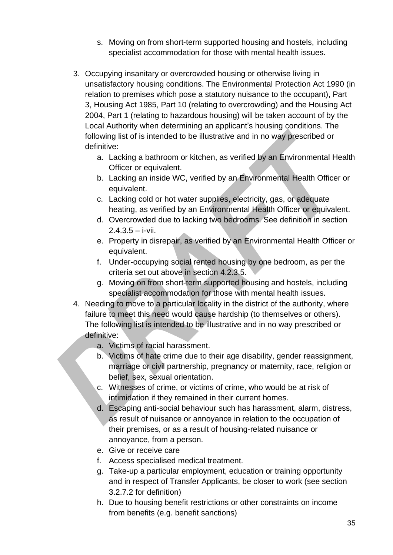- s. Moving on from short-term supported housing and hostels, including specialist accommodation for those with mental health issues.
- 3. Occupying insanitary or overcrowded housing or otherwise living in unsatisfactory housing conditions. The Environmental Protection Act 1990 (in relation to premises which pose a statutory nuisance to the occupant), Part 3, Housing Act 1985, Part 10 (relating to overcrowding) and the Housing Act 2004, Part 1 (relating to hazardous housing) will be taken account of by the Local Authority when determining an applicant's housing conditions. The following list of is intended to be illustrative and in no way prescribed or definitive:
	- a. Lacking a bathroom or kitchen, as verified by an Environmental Health Officer or equivalent.
	- b. Lacking an inside WC, verified by an Environmental Health Officer or equivalent.
	- c. Lacking cold or hot water supplies, electricity, gas, or adequate heating, as verified by an Environmental Health Officer or equivalent.
	- d. Overcrowded due to lacking two bedrooms. See definition in section  $2.4.3.5 - i$ -vii.
	- e. Property in disrepair, as verified by an Environmental Health Officer or equivalent.
	- f. Under-occupying social rented housing by one bedroom, as per the criteria set out above in section 4.2.3.5.
	- g. Moving on from short-term supported housing and hostels, including specialist accommodation for those with mental health issues.
- 4. Needing to move to a particular locality in the district of the authority, where failure to meet this need would cause hardship (to themselves or others). The following list is intended to be illustrative and in no way prescribed or definitive:
	- a. Victims of racial harassment.
	- b. Victims of hate crime due to their age disability, gender reassignment, marriage or civil partnership, pregnancy or maternity, race, religion or belief, sex, sexual orientation.
	- c. Witnesses of crime, or victims of crime, who would be at risk of intimidation if they remained in their current homes.
	- d. Escaping anti-social behaviour such has harassment, alarm, distress, as result of nuisance or annoyance in relation to the occupation of their premises, or as a result of housing-related nuisance or annoyance, from a person.
	- e. Give or receive care
	- f. Access specialised medical treatment.
	- g. Take-up a particular employment, education or training opportunity and in respect of Transfer Applicants, be closer to work (see section 3.2.7.2 for definition)
	- h. Due to housing benefit restrictions or other constraints on income from benefits (e.g. benefit sanctions)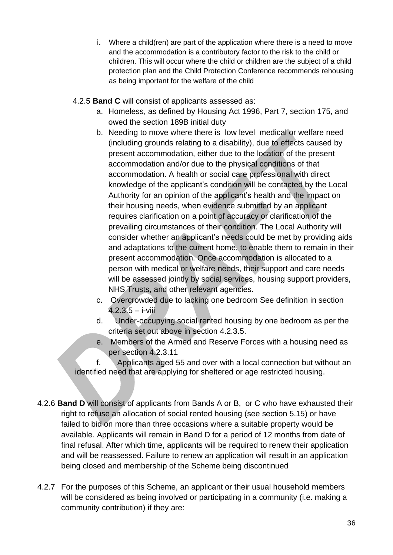- i. Where a child(ren) are part of the application where there is a need to move and the accommodation is a contributory factor to the risk to the child or children. This will occur where the child or children are the subject of a child protection plan and the Child Protection Conference recommends rehousing as being important for the welfare of the child
- 4.2.5 **Band C** will consist of applicants assessed as:
	- a. Homeless, as defined by Housing Act 1996, Part 7, section 175, and owed the section 189B initial duty
	- b. Needing to move where there is low level medical or welfare need (including grounds relating to a disability), due to effects caused by present accommodation, either due to the location of the present accommodation and/or due to the physical conditions of that accommodation. A health or social care professional with direct knowledge of the applicant's condition will be contacted by the Local Authority for an opinion of the applicant's health and the impact on their housing needs, when evidence submitted by an applicant requires clarification on a point of accuracy or clarification of the prevailing circumstances of their condition. The Local Authority will consider whether an applicant's needs could be met by providing aids and adaptations to the current home, to enable them to remain in their present accommodation. Once accommodation is allocated to a person with medical or welfare needs, their support and care needs will be assessed jointly by social services, housing support providers, NHS Trusts, and other relevant agencies.
	- c. Overcrowded due to lacking one bedroom See definition in section  $4.2.3.5 - i$ -viii
	- d. Under-occupying social rented housing by one bedroom as per the criteria set out above in section 4.2.3.5.
	- e. Members of the Armed and Reserve Forces with a housing need as per section 4.2.3.11

f. Applicants aged 55 and over with a local connection but without an identified need that are applying for sheltered or age restricted housing.

- 4.2.6 **Band D** will consist of applicants from Bands A or B, or C who have exhausted their right to refuse an allocation of social rented housing (see section 5.15) or have failed to bid on more than three occasions where a suitable property would be available. Applicants will remain in Band D for a period of 12 months from date of final refusal. After which time, applicants will be required to renew their application and will be reassessed. Failure to renew an application will result in an application being closed and membership of the Scheme being discontinued
- 4.2.7 For the purposes of this Scheme, an applicant or their usual household members will be considered as being involved or participating in a community (i.e. making a community contribution) if they are: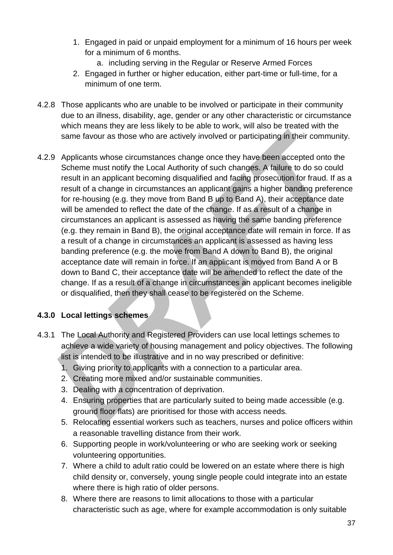- 1. Engaged in paid or unpaid employment for a minimum of 16 hours per week for a minimum of 6 months.
	- a. including serving in the Regular or Reserve Armed Forces
- 2. Engaged in further or higher education, either part-time or full-time, for a minimum of one term.
- 4.2.8 Those applicants who are unable to be involved or participate in their community due to an illness, disability, age, gender or any other characteristic or circumstance which means they are less likely to be able to work, will also be treated with the same favour as those who are actively involved or participating in their community.
- 4.2.9 Applicants whose circumstances change once they have been accepted onto the Scheme must notify the Local Authority of such changes. A failure to do so could result in an applicant becoming disqualified and facing prosecution for fraud. If as a result of a change in circumstances an applicant gains a higher banding preference for re-housing (e.g. they move from Band B up to Band A), their acceptance date will be amended to reflect the date of the change. If as a result of a change in circumstances an applicant is assessed as having the same banding preference (e.g. they remain in Band B), the original acceptance date will remain in force. If as a result of a change in circumstances an applicant is assessed as having less banding preference (e.g. the move from Band A down to Band B), the original acceptance date will remain in force. If an applicant is moved from Band A or B down to Band C, their acceptance date will be amended to reflect the date of the change. If as a result of a change in circumstances an applicant becomes ineligible or disqualified, then they shall cease to be registered on the Scheme.

# <span id="page-36-0"></span>**4.3.0 Local lettings schemes**

- 4.3.1 The Local Authority and Registered Providers can use local lettings schemes to achieve a wide variety of housing management and policy objectives. The following list is intended to be illustrative and in no way prescribed or definitive:
	- 1. Giving priority to applicants with a connection to a particular area.
	- 2. Creating more mixed and/or sustainable communities.
	- 3. Dealing with a concentration of deprivation.
	- 4. Ensuring properties that are particularly suited to being made accessible (e.g. ground floor flats) are prioritised for those with access needs.
	- 5. Relocating essential workers such as teachers, nurses and police officers within a reasonable travelling distance from their work.
	- 6. Supporting people in work/volunteering or who are seeking work or seeking volunteering opportunities.
	- 7. Where a child to adult ratio could be lowered on an estate where there is high child density or, conversely, young single people could integrate into an estate where there is high ratio of older persons.
	- 8. Where there are reasons to limit allocations to those with a particular characteristic such as age, where for example accommodation is only suitable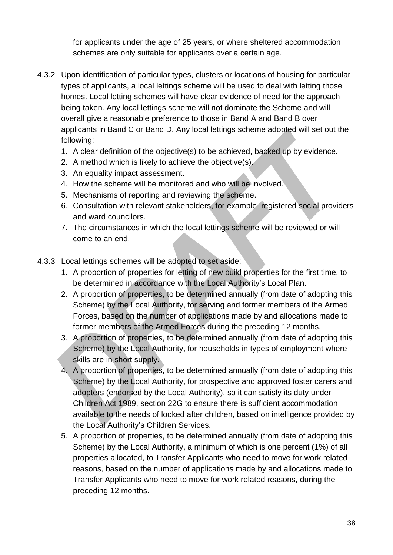for applicants under the age of 25 years, or where sheltered accommodation schemes are only suitable for applicants over a certain age.

- 4.3.2 Upon identification of particular types, clusters or locations of housing for particular types of applicants, a local lettings scheme will be used to deal with letting those homes. Local letting schemes will have clear evidence of need for the approach being taken. Any local lettings scheme will not dominate the Scheme and will overall give a reasonable preference to those in Band A and Band B over applicants in Band C or Band D. Any local lettings scheme adopted will set out the following:
	- 1. A clear definition of the objective(s) to be achieved, backed up by evidence.
	- 2. A method which is likely to achieve the objective(s).
	- 3. An equality impact assessment.
	- 4. How the scheme will be monitored and who will be involved.
	- 5. Mechanisms of reporting and reviewing the scheme.
	- 6. Consultation with relevant stakeholders, for example registered social providers and ward councilors.
	- 7. The circumstances in which the local lettings scheme will be reviewed or will come to an end.
- 4.3.3 Local lettings schemes will be adopted to set aside:
	- 1. A proportion of properties for letting of new build properties for the first time, to be determined in accordance with the Local Authority's Local Plan.
	- 2. A proportion of properties, to be determined annually (from date of adopting this Scheme) by the Local Authority, for serving and former members of the Armed Forces, based on the number of applications made by and allocations made to former members of the Armed Forces during the preceding 12 months.
	- 3. A proportion of properties, to be determined annually (from date of adopting this Scheme) by the Local Authority, for households in types of employment where skills are in short supply.
	- 4. A proportion of properties, to be determined annually (from date of adopting this Scheme) by the Local Authority, for prospective and approved foster carers and adopters (endorsed by the Local Authority), so it can satisfy its duty under Children Act 1989, section 22G to ensure there is sufficient accommodation available to the needs of looked after children, based on intelligence provided by the Local Authority's Children Services.
	- 5. A proportion of properties, to be determined annually (from date of adopting this Scheme) by the Local Authority, a minimum of which is one percent (1%) of all properties allocated, to Transfer Applicants who need to move for work related reasons, based on the number of applications made by and allocations made to Transfer Applicants who need to move for work related reasons, during the preceding 12 months.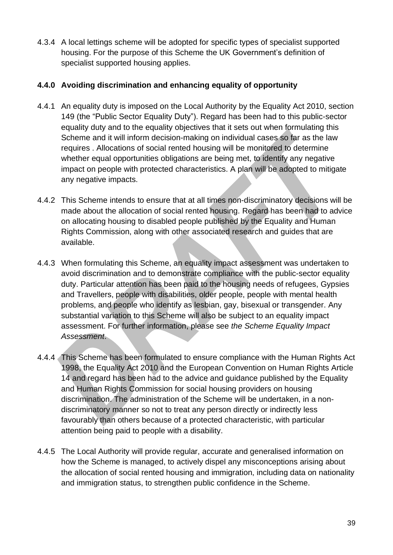4.3.4 A local lettings scheme will be adopted for specific types of specialist supported housing. For the purpose of this Scheme the UK Government's definition of specialist supported housing applies.

#### <span id="page-38-0"></span>**4.4.0 Avoiding discrimination and enhancing equality of opportunity**

- 4.4.1 An equality duty is imposed on the Local Authority by the Equality Act 2010, section 149 (the "Public Sector Equality Duty"). Regard has been had to this public-sector equality duty and to the equality objectives that it sets out when formulating this Scheme and it will inform decision-making on individual cases so far as the law requires . Allocations of social rented housing will be monitored to determine whether equal opportunities obligations are being met, to identify any negative impact on people with protected characteristics. A plan will be adopted to mitigate any negative impacts.
- 4.4.2 This Scheme intends to ensure that at all times non-discriminatory decisions will be made about the allocation of social rented housing. Regard has been had to advice on allocating housing to disabled people published by the Equality and Human Rights Commission, along with other associated research and guides that are available.
- 4.4.3 When formulating this Scheme, an equality impact assessment was undertaken to avoid discrimination and to demonstrate compliance with the public-sector equality duty. Particular attention has been paid to the housing needs of refugees, Gypsies and Travellers, people with disabilities, older people, people with mental health problems, and people who identify as lesbian, gay, bisexual or transgender. Any substantial variation to this Scheme will also be subject to an equality impact assessment. For further information, please see *the Scheme Equality Impact Assessment*.
- 4.4.4 This Scheme has been formulated to ensure compliance with the Human Rights Act 1998, the Equality Act 2010 and the European Convention on Human Rights Article 14 and regard has been had to the advice and guidance published by the Equality and Human Rights Commission for social housing providers on housing discrimination. The administration of the Scheme will be undertaken, in a nondiscriminatory manner so not to treat any person directly or indirectly less favourably than others because of a protected characteristic, with particular attention being paid to people with a disability.
- 4.4.5 The Local Authority will provide regular, accurate and generalised information on how the Scheme is managed, to actively dispel any misconceptions arising about the allocation of social rented housing and immigration, including data on nationality and immigration status, to strengthen public confidence in the Scheme.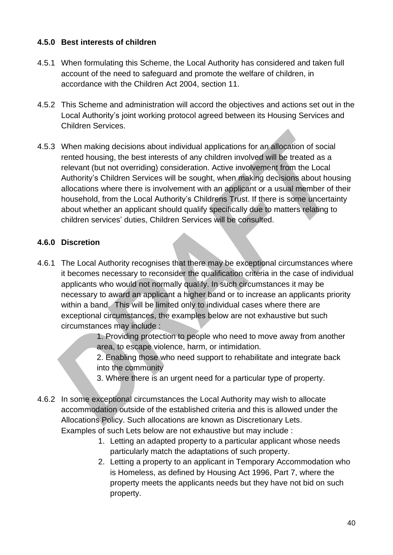#### <span id="page-39-0"></span>**4.5.0 Best interests of children**

- 4.5.1 When formulating this Scheme, the Local Authority has considered and taken full account of the need to safeguard and promote the welfare of children, in accordance with the Children Act 2004, section 11.
- 4.5.2 This Scheme and administration will accord the objectives and actions set out in the Local Authority's joint working protocol agreed between its Housing Services and Children Services.
- 4.5.3 When making decisions about individual applications for an allocation of social rented housing, the best interests of any children involved will be treated as a relevant (but not overriding) consideration. Active involvement from the Local Authority's Children Services will be sought, when making decisions about housing allocations where there is involvement with an applicant or a usual member of their household, from the Local Authority's Childrens Trust. If there is some uncertainty about whether an applicant should qualify specifically due to matters relating to children services' duties, Children Services will be consulted.

#### <span id="page-39-1"></span>**4.6.0 Discretion**

4.6.1 The Local Authority recognises that there may be exceptional circumstances where it becomes necessary to reconsider the qualification criteria in the case of individual applicants who would not normally qualify. In such circumstances it may be necessary to award an applicant a higher band or to increase an applicants priority within a band. This will be limited only to individual cases where there are exceptional circumstances, the examples below are not exhaustive but such circumstances may include :

> 1. Providing protection to people who need to move away from another area, to escape violence, harm, or intimidation.

2. Enabling those who need support to rehabilitate and integrate back into the community

3. Where there is an urgent need for a particular type of property.

- 4.6.2 In some exceptional circumstances the Local Authority may wish to allocate accommodation outside of the established criteria and this is allowed under the Allocations Policy. Such allocations are known as Discretionary Lets. Examples of such Lets below are not exhaustive but may include :
	- 1. Letting an adapted property to a particular applicant whose needs particularly match the adaptations of such property.
	- 2. Letting a property to an applicant in Temporary Accommodation who is Homeless, as defined by Housing Act 1996, Part 7, where the property meets the applicants needs but they have not bid on such property.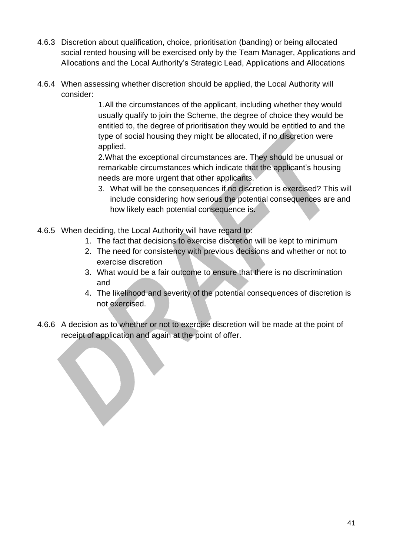- 4.6.3 Discretion about qualification, choice, prioritisation (banding) or being allocated social rented housing will be exercised only by the Team Manager, Applications and Allocations and the Local Authority's Strategic Lead, Applications and Allocations
- 4.6.4 When assessing whether discretion should be applied, the Local Authority will consider:

1.All the circumstances of the applicant, including whether they would usually qualify to join the Scheme, the degree of choice they would be entitled to, the degree of prioritisation they would be entitled to and the type of social housing they might be allocated, if no discretion were applied.

2.What the exceptional circumstances are. They should be unusual or remarkable circumstances which indicate that the applicant's housing needs are more urgent that other applicants.

- 3. What will be the consequences if no discretion is exercised? This will include considering how serious the potential consequences are and how likely each potential consequence is.
- 4.6.5 When deciding, the Local Authority will have regard to:
	- 1. The fact that decisions to exercise discretion will be kept to minimum
	- 2. The need for consistency with previous decisions and whether or not to exercise discretion
	- 3. What would be a fair outcome to ensure that there is no discrimination and
	- 4. The likelihood and severity of the potential consequences of discretion is not exercised.
- 4.6.6 A decision as to whether or not to exercise discretion will be made at the point of receipt of application and again at the point of offer.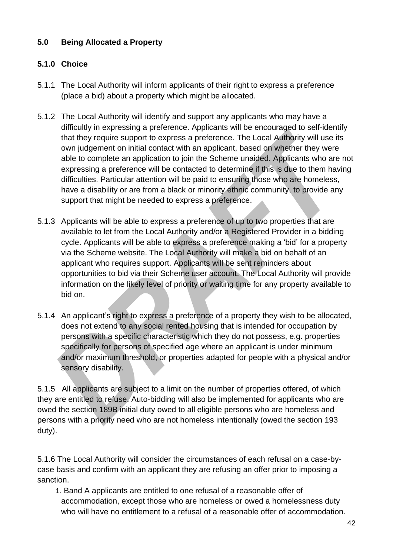# <span id="page-41-0"></span>**5.0 Being Allocated a Property**

# <span id="page-41-1"></span>**5.1.0 Choice**

- 5.1.1 The Local Authority will inform applicants of their right to express a preference (place a bid) about a property which might be allocated.
- 5.1.2 The Local Authority will identify and support any applicants who may have a difficultly in expressing a preference. Applicants will be encouraged to self-identify that they require support to express a preference. The Local Authority will use its own judgement on initial contact with an applicant, based on whether they were able to complete an application to join the Scheme unaided. Applicants who are not expressing a preference will be contacted to determine if this is due to them having difficulties. Particular attention will be paid to ensuring those who are homeless, have a disability or are from a black or minority ethnic community, to provide any support that might be needed to express a preference.
- 5.1.3 Applicants will be able to express a preference of up to two properties that are available to let from the Local Authority and/or a Registered Provider in a bidding cycle. Applicants will be able to express a preference making a 'bid' for a property via the Scheme website. The Local Authority will make a bid on behalf of an applicant who requires support. Applicants will be sent reminders about opportunities to bid via their Scheme user account. The Local Authority will provide information on the likely level of priority or waiting time for any property available to bid on.
- 5.1.4 An applicant's right to express a preference of a property they wish to be allocated, does not extend to any social rented housing that is intended for occupation by persons with a specific characteristic which they do not possess, e.g. properties specifically for persons of specified age where an applicant is under minimum and/or maximum threshold, or properties adapted for people with a physical and/or sensory disability.

5.1.5 All applicants are subject to a limit on the number of properties offered, of which they are entitled to refuse. Auto-bidding will also be implemented for applicants who are owed the section 189B initial duty owed to all eligible persons who are homeless and persons with a priority need who are not homeless intentionally (owed the section 193 duty).

5.1.6 The Local Authority will consider the circumstances of each refusal on a case-bycase basis and confirm with an applicant they are refusing an offer prior to imposing a sanction.

 1. Band A applicants are entitled to one refusal of a reasonable offer of accommodation, except those who are homeless or owed a homelessness duty who will have no entitlement to a refusal of a reasonable offer of accommodation.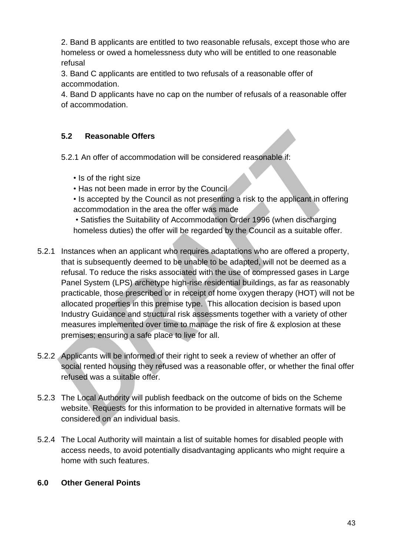2. Band B applicants are entitled to two reasonable refusals, except those who are homeless or owed a homelessness duty who will be entitled to one reasonable refusal

3. Band C applicants are entitled to two refusals of a reasonable offer of accommodation.

4. Band D applicants have no cap on the number of refusals of a reasonable offer of accommodation.

# **5.2 Reasonable Offers**

5.2.1 An offer of accommodation will be considered reasonable if:

- Is of the right size
- Has not been made in error by the Council
- Is accepted by the Council as not presenting a risk to the applicant in offering accommodation in the area the offer was made
- Satisfies the Suitability of Accommodation Order 1996 (when discharging homeless duties) the offer will be regarded by the Council as a suitable offer.
- 5.2.1 Instances when an applicant who requires adaptations who are offered a property, that is subsequently deemed to be unable to be adapted, will not be deemed as a refusal. To reduce the risks associated with the use of compressed gases in Large Panel System (LPS) archetype high-rise residential buildings, as far as reasonably practicable, those prescribed or in receipt of home oxygen therapy (HOT) will not be allocated properties in this premise type. This allocation decision is based upon Industry Guidance and structural risk assessments together with a variety of other measures implemented over time to manage the risk of fire & explosion at these premises; ensuring a safe place to live for all.
- 5.2.2 Applicants will be informed of their right to seek a review of whether an offer of social rented housing they refused was a reasonable offer, or whether the final offer refused was a suitable offer.
- 5.2.3 The Local Authority will publish feedback on the outcome of bids on the Scheme website. Requests for this information to be provided in alternative formats will be considered on an individual basis.
- 5.2.4 The Local Authority will maintain a list of suitable homes for disabled people with access needs, to avoid potentially disadvantaging applicants who might require a home with such features.

# <span id="page-42-0"></span>**6.0 Other General Points**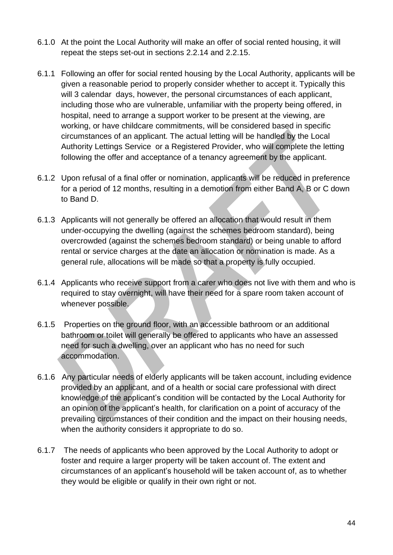- 6.1.0 At the point the Local Authority will make an offer of social rented housing, it will repeat the steps set-out in sections 2.2.14 and 2.2.15.
- 6.1.1 Following an offer for social rented housing by the Local Authority, applicants will be given a reasonable period to properly consider whether to accept it. Typically this will 3 calendar days, however, the personal circumstances of each applicant, including those who are vulnerable, unfamiliar with the property being offered, in hospital, need to arrange a support worker to be present at the viewing, are working, or have childcare commitments, will be considered based in specific circumstances of an applicant. The actual letting will be handled by the Local Authority Lettings Service or a Registered Provider, who will complete the letting following the offer and acceptance of a tenancy agreement by the applicant.
- 6.1.2 Upon refusal of a final offer or nomination, applicants will be reduced in preference for a period of 12 months, resulting in a demotion from either Band A, B or C down to Band D.
- 6.1.3 Applicants will not generally be offered an allocation that would result in them under-occupying the dwelling (against the schemes bedroom standard), being overcrowded (against the schemes bedroom standard) or being unable to afford rental or service charges at the date an allocation or nomination is made. As a general rule, allocations will be made so that a property is fully occupied.
- 6.1.4 Applicants who receive support from a carer who does not live with them and who is required to stay overnight, will have their need for a spare room taken account of whenever possible.
- 6.1.5 Properties on the ground floor, with an accessible bathroom or an additional bathroom or toilet will generally be offered to applicants who have an assessed need for such a dwelling, over an applicant who has no need for such accommodation.
- 6.1.6 Any particular needs of elderly applicants will be taken account, including evidence provided by an applicant, and of a health or social care professional with direct knowledge of the applicant's condition will be contacted by the Local Authority for an opinion of the applicant's health, for clarification on a point of accuracy of the prevailing circumstances of their condition and the impact on their housing needs, when the authority considers it appropriate to do so.
- 6.1.7 The needs of applicants who been approved by the Local Authority to adopt or foster and require a larger property will be taken account of. The extent and circumstances of an applicant's household will be taken account of, as to whether they would be eligible or qualify in their own right or not.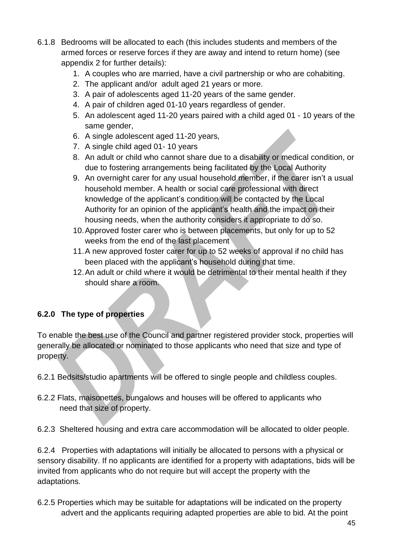- 6.1.8 Bedrooms will be allocated to each (this includes students and members of the armed forces or reserve forces if they are away and intend to return home) (see appendix 2 for further details):
	- 1. A couples who are married, have a civil partnership or who are cohabiting.
	- 2. The applicant and/or adult aged 21 years or more.
	- 3. A pair of adolescents aged 11-20 years of the same gender.
	- 4. A pair of children aged 01-10 years regardless of gender.
	- 5. An adolescent aged 11-20 years paired with a child aged 01 10 years of the same gender,
	- 6. A single adolescent aged 11-20 years,
	- 7. A single child aged 01- 10 years
	- 8. An adult or child who cannot share due to a disability or medical condition, or due to fostering arrangements being facilitated by the Local Authority
	- 9. An overnight carer for any usual household member, if the carer isn't a usual household member. A health or social care professional with direct knowledge of the applicant's condition will be contacted by the Local Authority for an opinion of the applicant's health and the impact on their housing needs, when the authority considers it appropriate to do so.
	- 10.Approved foster carer who is between placements, but only for up to 52 weeks from the end of the last placement
	- 11.A new approved foster carer for up to 52 weeks of approval if no child has been placed with the applicant's household during that time.
	- 12.An adult or child where it would be detrimental to their mental health if they should share a room.

# **6.2.0 The type of properties**

To enable the best use of the Council and partner registered provider stock, properties will generally be allocated or nominated to those applicants who need that size and type of property.

6.2.1 Bedsits/studio apartments will be offered to single people and childless couples.

6.2.2 Flats, maisonettes, bungalows and houses will be offered to applicants who need that size of property.

6.2.3 Sheltered housing and extra care accommodation will be allocated to older people.

6.2.4 Properties with adaptations will initially be allocated to persons with a physical or sensory disability. If no applicants are identified for a property with adaptations, bids will be invited from applicants who do not require but will accept the property with the adaptations.

6.2.5 Properties which may be suitable for adaptations will be indicated on the property advert and the applicants requiring adapted properties are able to bid. At the point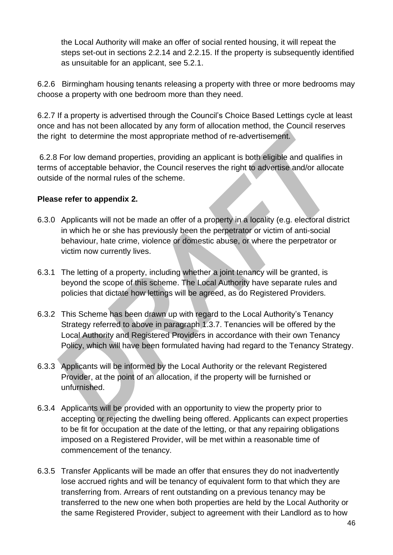the Local Authority will make an offer of social rented housing, it will repeat the steps set-out in sections 2.2.14 and 2.2.15. If the property is subsequently identified as unsuitable for an applicant, see 5.2.1.

6.2.6 Birmingham housing tenants releasing a property with three or more bedrooms may choose a property with one bedroom more than they need.

6.2.7 If a property is advertised through the Council's Choice Based Lettings cycle at least once and has not been allocated by any form of allocation method, the Council reserves the right to determine the most appropriate method of re-advertisement.

6.2.8 For low demand properties, providing an applicant is both eligible and qualifies in terms of acceptable behavior, the Council reserves the right to advertise and/or allocate outside of the normal rules of the scheme.

#### **Please refer to appendix 2.**

- 6.3.0 Applicants will not be made an offer of a property in a locality (e.g. electoral district in which he or she has previously been the perpetrator or victim of anti-social behaviour, hate crime, violence or domestic abuse, or where the perpetrator or victim now currently lives.
- 6.3.1 The letting of a property, including whether a joint tenancy will be granted, is beyond the scope of this scheme. The Local Authority have separate rules and policies that dictate how lettings will be agreed, as do Registered Providers.
- 6.3.2 This Scheme has been drawn up with regard to the Local Authority's Tenancy Strategy referred to above in paragraph 1.3.7. Tenancies will be offered by the Local Authority and Registered Providers in accordance with their own Tenancy Policy, which will have been formulated having had regard to the Tenancy Strategy.
- 6.3.3 Applicants will be informed by the Local Authority or the relevant Registered Provider, at the point of an allocation, if the property will be furnished or unfurnished.
- 6.3.4 Applicants will be provided with an opportunity to view the property prior to accepting or rejecting the dwelling being offered. Applicants can expect properties to be fit for occupation at the date of the letting, or that any repairing obligations imposed on a Registered Provider, will be met within a reasonable time of commencement of the tenancy.
- 6.3.5 Transfer Applicants will be made an offer that ensures they do not inadvertently lose accrued rights and will be tenancy of equivalent form to that which they are transferring from. Arrears of rent outstanding on a previous tenancy may be transferred to the new one when both properties are held by the Local Authority or the same Registered Provider, subject to agreement with their Landlord as to how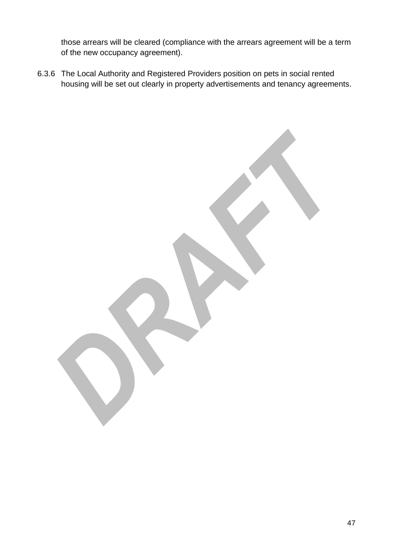those arrears will be cleared (compliance with the arrears agreement will be a term of the new occupancy agreement).

6.3.6 The Local Authority and Registered Providers position on pets in social rented housing will be set out clearly in property advertisements and tenancy agreements.

47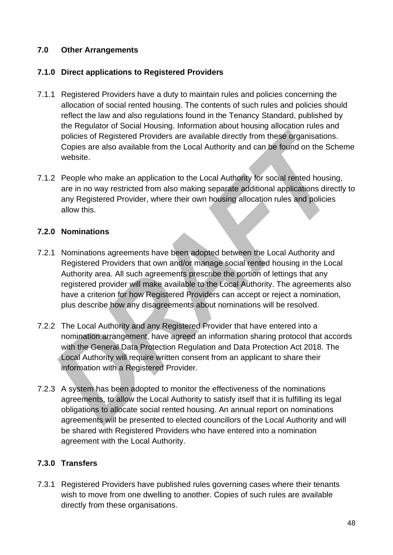#### <span id="page-47-0"></span>**7.0 Other Arrangements**

#### <span id="page-47-1"></span>**7.1.0 Direct applications to Registered Providers**

- 7.1.1 Registered Providers have a duty to maintain rules and policies concerning the allocation of social rented housing. The contents of such rules and policies should reflect the law and also regulations found in the Tenancy Standard, published by the Regulator of Social Housing. Information about housing allocation rules and policies of Registered Providers are available directly from these organisations. Copies are also available from the Local Authority and can be found on the Scheme website.
- 7.1.2 People who make an application to the Local Authority for social rented housing, are in no way restricted from also making separate additional applications directly to any Registered Provider, where their own housing allocation rules and policies allow this.

#### <span id="page-47-2"></span>**7.2.0 Nominations**

- 7.2.1 Nominations agreements have been adopted between the Local Authority and Registered Providers that own and/or manage social rented housing in the Local Authority area. All such agreements prescribe the portion of lettings that any registered provider will make available to the Local Authority. The agreements also have a criterion for how Registered Providers can accept or reject a nomination, plus describe how any disagreements about nominations will be resolved.
- 7.2.2 The Local Authority and any Registered Provider that have entered into a nomination arrangement, have agreed an information sharing protocol that accords with the General Data Protection Regulation and Data Protection Act 2018. The Local Authority will require written consent from an applicant to share their information with a Registered Provider.
- 7.2.3 A system has been adopted to monitor the effectiveness of the nominations agreements, to allow the Local Authority to satisfy itself that it is fulfilling its legal obligations to allocate social rented housing. An annual report on nominations agreements will be presented to elected councillors of the Local Authority and will be shared with Registered Providers who have entered into a nomination agreement with the Local Authority.

# <span id="page-47-3"></span>**7.3.0 Transfers**

7.3.1 Registered Providers have published rules governing cases where their tenants wish to move from one dwelling to another. Copies of such rules are available directly from these organisations.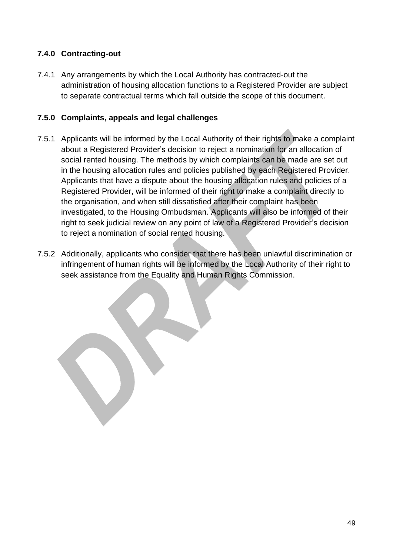# <span id="page-48-0"></span>**7.4.0 Contracting-out**

7.4.1 Any arrangements by which the Local Authority has contracted-out the administration of housing allocation functions to a Registered Provider are subject to separate contractual terms which fall outside the scope of this document.

#### <span id="page-48-1"></span>**7.5.0 Complaints, appeals and legal challenges**

- 7.5.1 Applicants will be informed by the Local Authority of their rights to make a complaint about a Registered Provider's decision to reject a nomination for an allocation of social rented housing. The methods by which complaints can be made are set out in the housing allocation rules and policies published by each Registered Provider. Applicants that have a dispute about the housing allocation rules and policies of a Registered Provider, will be informed of their right to make a complaint directly to the organisation, and when still dissatisfied after their complaint has been investigated, to the Housing Ombudsman. Applicants will also be informed of their right to seek judicial review on any point of law of a Registered Provider's decision to reject a nomination of social rented housing.
- 7.5.2 Additionally, applicants who consider that there has been unlawful discrimination or infringement of human rights will be informed by the Local Authority of their right to seek assistance from the Equality and Human Rights Commission.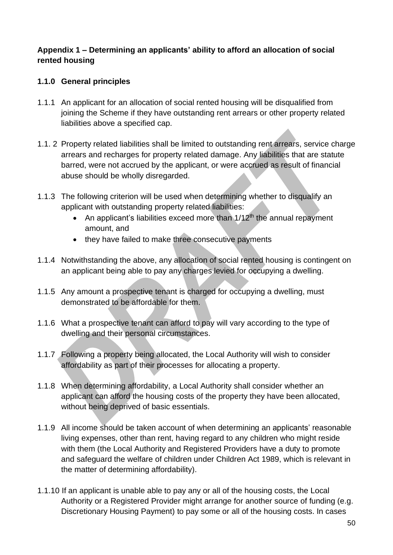#### <span id="page-49-0"></span>**Appendix 1 – Determining an applicants' ability to afford an allocation of social rented housing**

### **1.1.0 General principles**

- 1.1.1 An applicant for an allocation of social rented housing will be disqualified from joining the Scheme if they have outstanding rent arrears or other property related liabilities above a specified cap.
- 1.1. 2 Property related liabilities shall be limited to outstanding rent arrears, service charge arrears and recharges for property related damage. Any liabilities that are statute barred, were not accrued by the applicant, or were accrued as result of financial abuse should be wholly disregarded.
- 1.1.3 The following criterion will be used when determining whether to disqualify an applicant with outstanding property related liabilities:
	- An applicant's liabilities exceed more than  $1/12<sup>th</sup>$  the annual repayment amount, and
	- they have failed to make three consecutive payments
- 1.1.4 Notwithstanding the above, any allocation of social rented housing is contingent on an applicant being able to pay any charges levied for occupying a dwelling.
- 1.1.5 Any amount a prospective tenant is charged for occupying a dwelling, must demonstrated to be affordable for them.
- 1.1.6 What a prospective tenant can afford to pay will vary according to the type of dwelling and their personal circumstances.
- 1.1.7 Following a property being allocated, the Local Authority will wish to consider affordability as part of their processes for allocating a property.
- 1.1.8 When determining affordability, a Local Authority shall consider whether an applicant can afford the housing costs of the property they have been allocated, without being deprived of basic essentials.
- 1.1.9 All income should be taken account of when determining an applicants' reasonable living expenses, other than rent, having regard to any children who might reside with them (the Local Authority and Registered Providers have a duty to promote and safeguard the welfare of children under Children Act 1989, which is relevant in the matter of determining affordability).
- 1.1.10 If an applicant is unable able to pay any or all of the housing costs, the Local Authority or a Registered Provider might arrange for another source of funding (e.g. Discretionary Housing Payment) to pay some or all of the housing costs. In cases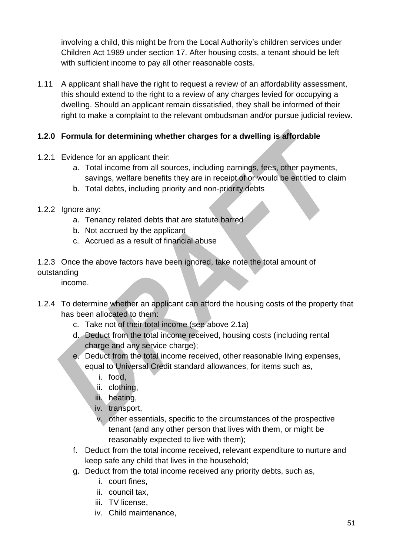involving a child, this might be from the Local Authority's children services under Children Act 1989 under section 17. After housing costs, a tenant should be left with sufficient income to pay all other reasonable costs.

1.11 A applicant shall have the right to request a review of an affordability assessment, this should extend to the right to a review of any charges levied for occupying a dwelling. Should an applicant remain dissatisfied, they shall be informed of their right to make a complaint to the relevant ombudsman and/or pursue judicial review.

# **1.2.0 Formula for determining whether charges for a dwelling is affordable**

- 1.2.1 Evidence for an applicant their:
	- a. Total income from all sources, including earnings, fees, other payments, savings, welfare benefits they are in receipt of or would be entitled to claim
	- b. Total debts, including priority and non-priority debts
- 1.2.2 Ignore any:
	- a. Tenancy related debts that are statute barred
	- b. Not accrued by the applicant
	- c. Accrued as a result of financial abuse
- 1.2.3 Once the above factors have been ignored, take note the total amount of outstanding

income.

- 1.2.4 To determine whether an applicant can afford the housing costs of the property that has been allocated to them:
	- c. Take not of their total income (see above 2.1a)
	- d. Deduct from the total income received, housing costs (including rental charge and any service charge);
	- e. Deduct from the total income received, other reasonable living expenses, equal to Universal Credit standard allowances, for items such as,
		- i. food,
		- ii. clothing,
		- iii. heating,
		- iv. transport,
		- v. other essentials, specific to the circumstances of the prospective tenant (and any other person that lives with them, or might be reasonably expected to live with them);
	- f. Deduct from the total income received, relevant expenditure to nurture and keep safe any child that lives in the household;
	- g. Deduct from the total income received any priority debts, such as,
		- i. court fines,
		- ii. council tax,
		- iii. TV license.
		- iv. Child maintenance,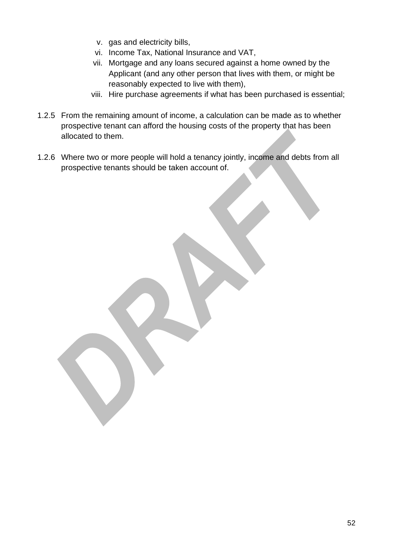- v. gas and electricity bills,
- vi. Income Tax, National Insurance and VAT,
- vii. Mortgage and any loans secured against a home owned by the Applicant (and any other person that lives with them, or might be reasonably expected to live with them),
- viii. Hire purchase agreements if what has been purchased is essential;
- 1.2.5 From the remaining amount of income, a calculation can be made as to whether prospective tenant can afford the housing costs of the property that has been allocated to them.
- 1.2.6 Where two or more people will hold a tenancy jointly, income and debts from all prospective tenants should be taken account of.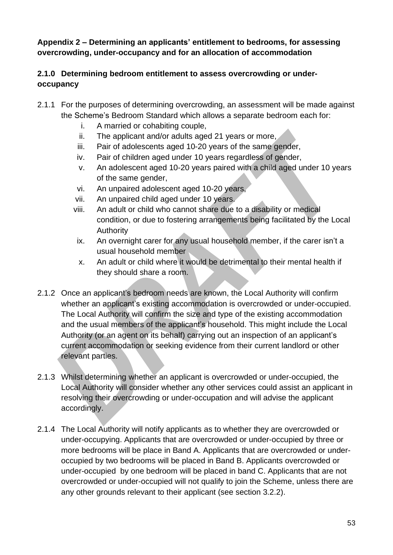<span id="page-52-0"></span>**Appendix 2 – Determining an applicants' entitlement to bedrooms, for assessing overcrowding, under-occupancy and for an allocation of accommodation**

# **2.1.0 Determining bedroom entitlement to assess overcrowding or underoccupancy**

- 2.1.1 For the purposes of determining overcrowding, an assessment will be made against the Scheme's Bedroom Standard which allows a separate bedroom each for:
	- i. A married or cohabiting couple,
	- ii. The applicant and/or adults aged 21 years or more,
	- iii. Pair of adolescents aged 10-20 years of the same gender,
	- iv. Pair of children aged under 10 years regardless of gender,
	- v. An adolescent aged 10-20 years paired with a child aged under 10 years of the same gender,
	- vi. An unpaired adolescent aged 10-20 years,
	- vii. An unpaired child aged under 10 years.
	- viii. An adult or child who cannot share due to a disability or medical condition, or due to fostering arrangements being facilitated by the Local Authority
	- ix. An overnight carer for any usual household member, if the carer isn't a usual household member
	- x. An adult or child where it would be detrimental to their mental health if they should share a room.
- 2.1.2 Once an applicant's bedroom needs are known, the Local Authority will confirm whether an applicant's existing accommodation is overcrowded or under-occupied. The Local Authority will confirm the size and type of the existing accommodation and the usual members of the applicant's household. This might include the Local Authority (or an agent on its behalf) carrying out an inspection of an applicant's current accommodation or seeking evidence from their current landlord or other relevant parties.
- 2.1.3 Whilst determining whether an applicant is overcrowded or under-occupied, the Local Authority will consider whether any other services could assist an applicant in resolving their overcrowding or under-occupation and will advise the applicant accordingly.
- 2.1.4 The Local Authority will notify applicants as to whether they are overcrowded or under-occupying. Applicants that are overcrowded or under-occupied by three or more bedrooms will be place in Band A. Applicants that are overcrowded or underoccupied by two bedrooms will be placed in Band B. Applicants overcrowded or under-occupied by one bedroom will be placed in band C. Applicants that are not overcrowded or under-occupied will not qualify to join the Scheme, unless there are any other grounds relevant to their applicant (see section 3.2.2).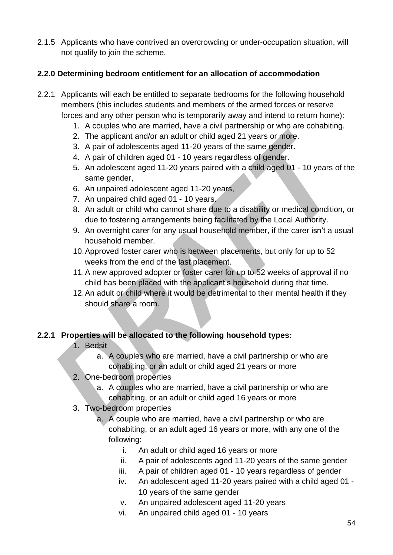2.1.5 Applicants who have contrived an overcrowding or under-occupation situation, will not qualify to join the scheme.

### **2.2.0 Determining bedroom entitlement for an allocation of accommodation**

- 2.2.1 Applicants will each be entitled to separate bedrooms for the following household members (this includes students and members of the armed forces or reserve forces and any other person who is temporarily away and intend to return home):
	- 1. A couples who are married, have a civil partnership or who are cohabiting.
	- 2. The applicant and/or an adult or child aged 21 years or more.
	- 3. A pair of adolescents aged 11-20 years of the same gender.
	- 4. A pair of children aged 01 10 years regardless of gender.
	- 5. An adolescent aged 11-20 years paired with a child aged 01 10 years of the same gender,
	- 6. An unpaired adolescent aged 11-20 years,
	- 7. An unpaired child aged 01 10 years.
	- 8. An adult or child who cannot share due to a disability or medical condition, or due to fostering arrangements being facilitated by the Local Authority.
	- 9. An overnight carer for any usual household member, if the carer isn't a usual household member.
	- 10.Approved foster carer who is between placements, but only for up to 52 weeks from the end of the last placement.
	- 11.A new approved adopter or foster carer for up to 52 weeks of approval if no child has been placed with the applicant's household during that time.
	- 12.An adult or child where it would be detrimental to their mental health if they should share a room.

#### **2.2.1 Properties will be allocated to the following household types:**

- 1. Bedsit
	- a. A couples who are married, have a civil partnership or who are cohabiting, or an adult or child aged 21 years or more
- 2. One-bedroom properties
	- a. A couples who are married, have a civil partnership or who are cohabiting, or an adult or child aged 16 years or more
- 3. Two-bedroom properties
	- a. A couple who are married, have a civil partnership or who are cohabiting, or an adult aged 16 years or more, with any one of the following:
		- i. An adult or child aged 16 years or more
		- ii. A pair of adolescents aged 11-20 years of the same gender
		- iii. A pair of children aged 01 10 years regardless of gender
		- iv. An adolescent aged 11-20 years paired with a child aged 01 10 years of the same gender
		- v. An unpaired adolescent aged 11-20 years
		- vi. An unpaired child aged 01 10 years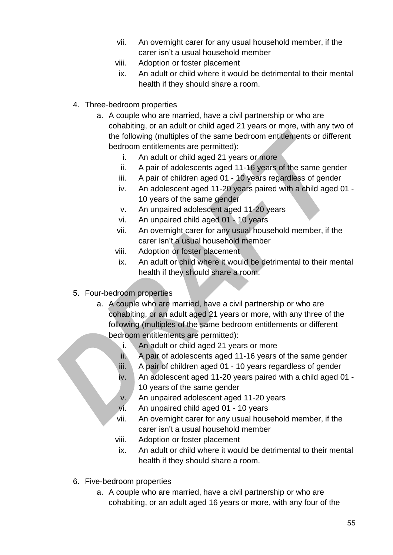- vii. An overnight carer for any usual household member, if the carer isn't a usual household member
- viii. Adoption or foster placement
- ix. An adult or child where it would be detrimental to their mental health if they should share a room.
- 4. Three-bedroom properties
	- a. A couple who are married, have a civil partnership or who are cohabiting, or an adult or child aged 21 years or more, with any two of the following (multiples of the same bedroom entitlements or different bedroom entitlements are permitted):
		- i. An adult or child aged 21 years or more
		- ii. A pair of adolescents aged 11-16 years of the same gender
		- iii. A pair of children aged 01 10 years regardless of gender
		- iv. An adolescent aged 11-20 years paired with a child aged 01 10 years of the same gender
		- v. An unpaired adolescent aged 11-20 years
		- vi. An unpaired child aged 01 10 years
		- vii. An overnight carer for any usual household member, if the carer isn't a usual household member
		- viii. Adoption or foster placement
		- ix. An adult or child where it would be detrimental to their mental health if they should share a room.
- 5. Four-bedroom properties
	- a. A couple who are married, have a civil partnership or who are cohabiting, or an adult aged 21 years or more, with any three of the following (multiples of the same bedroom entitlements or different bedroom entitlements are permitted):
		- i. An adult or child aged 21 years or more
		- ii. A pair of adolescents aged 11-16 years of the same gender
		- iii. A pair of children aged 01 10 years regardless of gender
		- iv. An adolescent aged 11-20 years paired with a child aged 01 10 years of the same gender
		- v. An unpaired adolescent aged 11-20 years
		- vi. An unpaired child aged 01 10 years
		- vii. An overnight carer for any usual household member, if the carer isn't a usual household member
		- viii. Adoption or foster placement
		- ix. An adult or child where it would be detrimental to their mental health if they should share a room.
- 6. Five-bedroom properties
	- a. A couple who are married, have a civil partnership or who are cohabiting, or an adult aged 16 years or more, with any four of the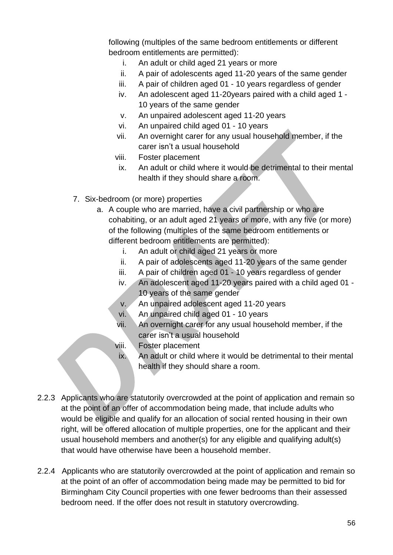following (multiples of the same bedroom entitlements or different bedroom entitlements are permitted):

- i. An adult or child aged 21 years or more
- ii. A pair of adolescents aged 11-20 years of the same gender
- iii. A pair of children aged 01 10 years regardless of gender
- iv. An adolescent aged 11-20years paired with a child aged 1 10 years of the same gender
- v. An unpaired adolescent aged 11-20 years
- vi. An unpaired child aged 01 10 years
- vii. An overnight carer for any usual household member, if the carer isn't a usual household
- viii. Foster placement
- ix. An adult or child where it would be detrimental to their mental health if they should share a room.
- 7. Six-bedroom (or more) properties
	- a. A couple who are married, have a civil partnership or who are cohabiting, or an adult aged 21 years or more, with any five (or more) of the following (multiples of the same bedroom entitlements or different bedroom entitlements are permitted):
		- i. An adult or child aged 21 years or more
		- ii. A pair of adolescents aged 11-20 years of the same gender
		- iii. A pair of children aged 01 10 years regardless of gender
		- iv. An adolescent aged 11-20 years paired with a child aged 01 10 years of the same gender
		- v. An unpaired adolescent aged 11-20 years
		- vi. An unpaired child aged 01 10 years
		- vii. An overnight carer for any usual household member, if the carer isn't a usual household
		- viii. Foster placement
		- ix. An adult or child where it would be detrimental to their mental health if they should share a room.
- 2.2.3 Applicants who are statutorily overcrowded at the point of application and remain so at the point of an offer of accommodation being made, that include adults who would be eligible and qualify for an allocation of social rented housing in their own right, will be offered allocation of multiple properties, one for the applicant and their usual household members and another(s) for any eligible and qualifying adult(s) that would have otherwise have been a household member.
- 2.2.4 Applicants who are statutorily overcrowded at the point of application and remain so at the point of an offer of accommodation being made may be permitted to bid for Birmingham City Council properties with one fewer bedrooms than their assessed bedroom need. If the offer does not result in statutory overcrowding.